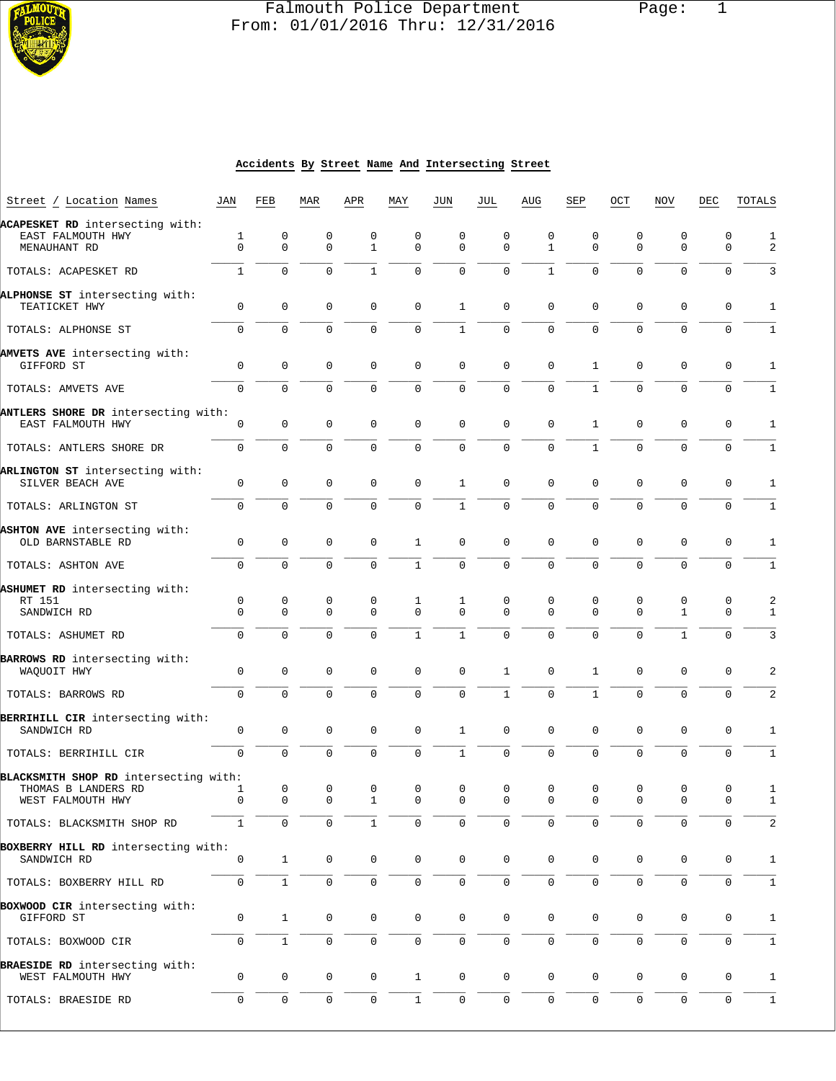

# Falmouth Police Department Page: 1  $\frac{1}{3}$  From: 01/01/2016 Thru: 12/31/2016

#### **Accidents By Street Name And Intersecting Street**

| Street / Location Names                                              | JAN              | FEB                 | MAR                 | APR               | MAY              | JUN              | JUL              | AUG               | SEP              | OCT              | <b>NOV</b>                  | DEC                 | TOTALS                  |
|----------------------------------------------------------------------|------------------|---------------------|---------------------|-------------------|------------------|------------------|------------------|-------------------|------------------|------------------|-----------------------------|---------------------|-------------------------|
| ACAPESKET RD intersecting with:<br>EAST FALMOUTH HWY<br>MENAUHANT RD | 1<br>$\Omega$    | 0<br>$\Omega$       | 0<br>$\Omega$       | 0<br>$\mathbf{1}$ | 0<br>$\Omega$    | 0<br>$\Omega$    | 0<br>$\Omega$    | 0<br>$\mathbf{1}$ | 0<br>$\mathbf 0$ | 0<br>$\mathbf 0$ | 0<br>$\Omega$               | 0<br>$\Omega$       | 1<br>2                  |
| TOTALS: ACAPESKET RD                                                 | $\mathbf{1}$     | $\Omega$            | $\Omega$            | $\mathbf{1}$      | $\Omega$         | $\mathbf 0$      | $\Omega$         | $\mathbf{1}$      | $\Omega$         | $\mathbf{0}$     | $\Omega$                    | 0                   | 3                       |
|                                                                      |                  |                     |                     |                   |                  |                  |                  |                   |                  |                  |                             |                     |                         |
| ALPHONSE ST intersecting with:<br>TEATICKET HWY                      | $\mathbf 0$      | 0                   | $\mathbf 0$         | $\mathbf 0$       | $\mathsf 0$      | $\mathbf{1}$     | $\mathbf 0$      | $\mathbf 0$       | 0                | $\mathbf 0$      | $\mathbf 0$                 | 0                   | 1                       |
| TOTALS: ALPHONSE ST                                                  | $\mathbf 0$      | $\overline{0}$      | $\mathbf 0$         | 0                 | 0                | $\mathbf{1}$     | $\mathbf 0$      | 0                 | $\mathbf 0$      | $\overline{0}$   | $\Omega$                    | 0                   | 1                       |
| AMVETS AVE intersecting with:<br>GIFFORD ST                          | 0                | $\mathbf 0$         | 0                   | 0                 | 0                | $\mathbf 0$      | $\mathbf 0$      | 0                 | $\mathbf{1}$     | 0                | $\mathbf 0$                 | 0                   | 1                       |
| TOTALS: AMVETS AVE                                                   | $\mathsf{O}$     | $\Omega$            | $\mathbf 0$         | $\Omega$          | 0                | $\mathbf 0$      | $\mathbf 0$      | 0                 | $\mathbf{1}$     | $\mathbf 0$      | 0                           | 0                   | $\mathbf{1}$            |
| ANTLERS SHORE DR intersecting with:<br>EAST FALMOUTH HWY             | 0                | $\mathsf{O}\xspace$ | $\mathbf 0$         | $\mathbf 0$       | $\mathbf 0$      | $\mathbf 0$      | $\mathbf 0$      | $\mathbf 0$       | 1                | $\mathbf 0$      | $\mathbf 0$                 | $\mathbf 0$         | $\mathbf{1}$            |
| TOTALS: ANTLERS SHORE DR                                             | 0                | 0                   | $\mathbf 0$         | $\mathbf 0$       | $\mathbf 0$      | $\mathbf 0$      | $\mathbf 0$      | 0                 | $\mathbf{1}$     | $\mathbf 0$      | 0                           | 0                   | 1                       |
| ARLINGTON ST intersecting with:<br>SILVER BEACH AVE                  | 0                | $\mathbf{0}$        | $\mathbf 0$         | 0                 | $\mathbf 0$      | 1                | $\mathbf 0$      | 0                 | $\mathbf 0$      | $\mathbf 0$      | 0                           | 0                   | 1                       |
| TOTALS: ARLINGTON ST                                                 | $\mathbf 0$      | $\overline{0}$      | $\Omega$            | $\Omega$          | 0                | $\mathbf{1}$     | $\mathbf 0$      | 0                 | $\mathbf 0$      | $\Omega$         | $\Omega$                    | 0                   |                         |
| ASHTON AVE intersecting with:<br>OLD BARNSTABLE RD                   | 0                | 0                   | $\mathbf 0$         | 0                 | 1                | $\mathbf 0$      | $\mathbf 0$      | $\mathbf 0$       | 0                | $\mathbf 0$      | $\mathbf 0$                 | 0                   | 1                       |
| TOTALS: ASHTON AVE                                                   | $\mathbf 0$      | $\Omega$            | $\Omega$            | 0                 | $\mathbf{1}$     | $\mathbf 0$      | $\mathbf 0$      | $\Omega$          | $\Omega$         | $\Omega$         | $\mathbf 0$                 | $\mathbf 0$         | 1                       |
| ASHUMET RD intersecting with:<br>RT 151<br>SANDWICH RD               | 0<br>$\Omega$    | 0<br>0              | 0<br>$\mathbf 0$    | 0<br>$\Omega$     | 1<br>$\mathbf 0$ | 1<br>$\mathbf 0$ | 0<br>$\Omega$    | 0<br>$\Omega$     | 0<br>$\Omega$    | 0<br>$\mathbf 0$ | $\mathbf 0$<br>$\mathbf{1}$ | 0<br>$\mathbf 0$    | 2<br>1                  |
| TOTALS: ASHUMET RD                                                   | $\mathbf 0$      | 0                   | $\Omega$            | $\Omega$          | $\mathbf{1}$     | $\mathbf{1}$     | $\mathbf 0$      | $\overline{0}$    | $\mathbf 0$      | $\Omega$         | $\mathbf{1}$                | 0                   | 3                       |
| BARROWS RD intersecting with:<br>WAQUOIT HWY                         | 0                | $\mathbf{0}$        | $\mathbf 0$         | 0                 | $\mathbf 0$      | $\mathbf 0$      | $\mathbf{1}$     | $\mathbf 0$       | 1                | $\mathbf 0$      | $\mathbf 0$                 | 0                   | 2                       |
| TOTALS: BARROWS RD                                                   | $\mathbf 0$      | $\mathbf{0}$        | $\mathbf 0$         | $\mathbf 0$       | $\mathbf 0$      | $\mathbf 0$      | $\mathbf{1}$     | 0                 | $\mathbf{1}$     | $\Omega$         | $\mathbf 0$                 | 0                   | 2                       |
| BERRIHILL CIR intersecting with:<br>SANDWICH RD                      | 0                | 0                   | 0                   | 0                 | 0                | 1                | $\mathbf 0$      | 0                 | 0                | $\mathbf 0$      | 0                           | 0                   | 1                       |
| TOTALS: BERRIHILL CIR                                                | $\mathbf 0$      | $\overline{0}$      | $\mathbf 0$         | $\Omega$          | $\mathbf 0$      | $\mathbf{1}$     | $\mathbf 0$      | 0                 | $\mathbf 0$      | $\mathbf 0$      | 0                           | 0                   | 1                       |
| BLACKSMITH SHOP RD intersecting with:<br>THOMAS B LANDERS RD         | 1<br>$\mathbf 0$ | 0<br>$\mathbf 0$    | 0<br>$\mathbf 0$    | 0<br>$\mathbf{1}$ | 0<br>$\mathbf 0$ | 0<br>$\mathbf 0$ | 0<br>$\mathbf 0$ | 0<br>$\Omega$     | 0<br>$\mathbf 0$ | 0<br>$\mathbf 0$ | 0<br>$\mathbf 0$            | 0<br>0              | 1                       |
| WEST FALMOUTH HWY<br>TOTALS: BLACKSMITH SHOP RD                      | $\mathbf{1}$     | $\mathbf 0$         | $\mathsf 0$         |                   | 0                | $\mathbf 0$      | $\mathbf 0$      | 0                 | 0                | $\mathsf 0$      | 0                           | 0                   | $1\,$<br>$\overline{2}$ |
|                                                                      |                  |                     |                     |                   |                  |                  |                  |                   |                  |                  |                             |                     |                         |
| BOXBERRY HILL RD intersecting with:<br>SANDWICH RD                   | 0                | $\mathbf{1}$        | $\mathbf 0$         | 0                 | 0                | 0                | $\mathbf 0$      | $\mathbf 0$       | $\mathbf 0$      | $\mathbf 0$      | 0                           | 0                   | 1                       |
| TOTALS: BOXBERRY HILL RD                                             | 0                | $\mathbf{1}$        | $\mathsf{O}\xspace$ | 0                 | $\mathsf{O}$     | $\mathbf 0$      | $\mathbf 0$      | 0                 | $\mathbf 0$      | $\overline{0}$   | 0                           | 0                   | 1                       |
| BOXWOOD CIR intersecting with:<br>GIFFORD ST                         | 0                | $\mathbf{1}$        | 0                   | 0                 | 0                | 0                | 0                | 0                 | 0                | 0                | 0                           | 0                   | 1                       |
| TOTALS: BOXWOOD CIR                                                  | $\mathsf{O}$     | $\mathbf{1}$        | $\mathbf 0$         | 0                 | $\mathsf{O}$     | $\mathbf 0$      | $\mathbf 0$      | $\mathbf 0$       | $\mathbf 0$      | $\mathbf 0$      | $\mathbf 0$                 | $\mathbf 0$         | 1                       |
| BRAESIDE RD intersecting with:<br>WEST FALMOUTH HWY                  | 0                | $\mathsf 0$         | 0                   | 0                 | $\mathbf{1}$     | $\mathbf 0$      | $\mathbf 0$      | 0                 | 0                | 0                | 0                           | 0                   | 1                       |
| TOTALS: BRAESIDE RD                                                  | 0                | $\mathbf 0$         | $\mathbf 0$         | 0                 | $\mathbf{1}$     | $\mathbf 0$      | $\mathbf 0$      | $\mathbf 0$       | $\mathbf 0$      | $\mathbf 0$      | $\mathbf 0$                 | $\mathsf{O}\xspace$ | $\mathbf{1}$            |
|                                                                      |                  |                     |                     |                   |                  |                  |                  |                   |                  |                  |                             |                     |                         |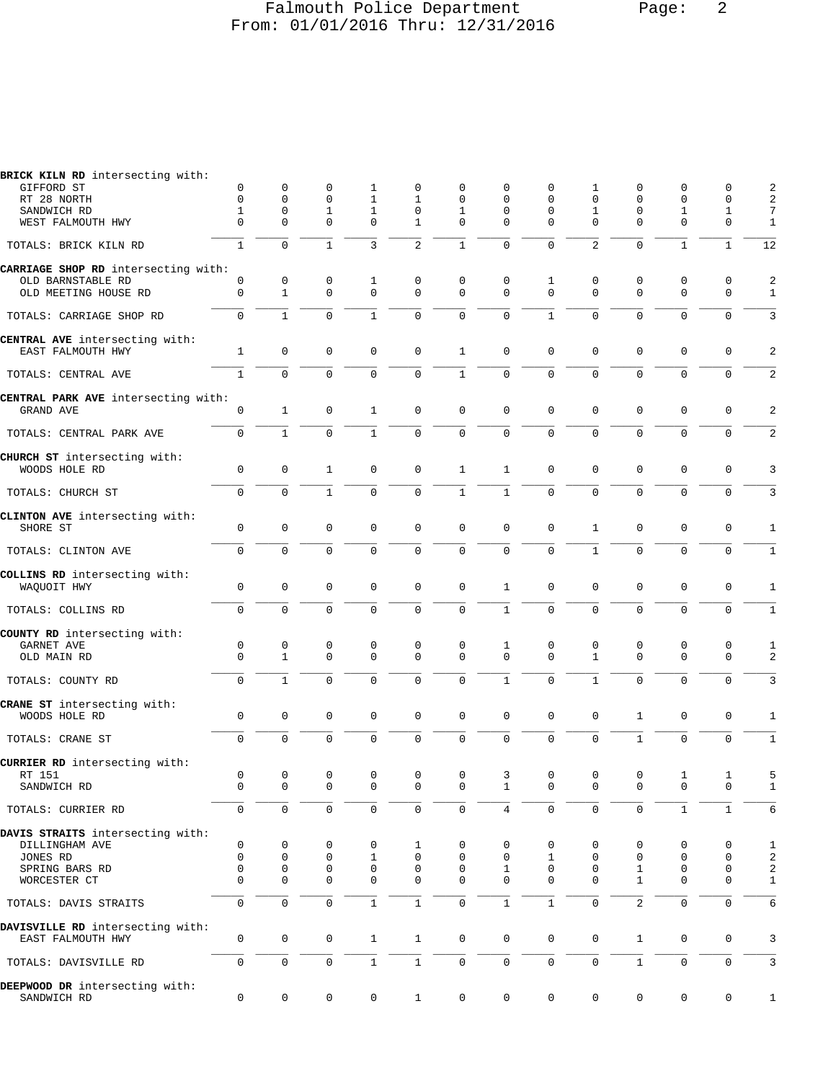#### Falmouth Police Department Page: 2 From: 01/01/2016 Thru: 12/31/2016

| BRICK KILN RD intersecting with:                      |              |                     |              |              |                |                     |                     |              |              |                |                     |              |                |
|-------------------------------------------------------|--------------|---------------------|--------------|--------------|----------------|---------------------|---------------------|--------------|--------------|----------------|---------------------|--------------|----------------|
| GIFFORD ST                                            | 0            | 0                   | 0            | 1            | 0              | 0                   | 0                   | 0            | 1            | 0              | 0                   | 0            | 2              |
| RT 28 NORTH                                           | $\Omega$     | $\mathbf 0$         | 0            | 1            | 1              | 0                   | 0                   | $\Omega$     | $\mathbf 0$  | 0              | 0                   | 0            | 2              |
| SANDWICH RD                                           | $\mathbf{1}$ | $\mathsf 0$         | $\mathbf 1$  | $\mathbf{1}$ | $\mathbf 0$    | $\mathbf{1}$        | $\mathbf 0$         | $\mathbf{0}$ | $\mathbf 1$  | 0              | $\mathbf 1$         | $\mathbf{1}$ | 7              |
| WEST FALMOUTH HWY                                     | 0            | $\Omega$            | 0            | $\mathbf 0$  | 1              | 0                   | $\mathbf 0$         | $\Omega$     | $\Omega$     | 0              | $\mathbf 0$         | $\mathbf 0$  | 1              |
| TOTALS: BRICK KILN RD                                 | $\mathbf{1}$ | $\Omega$            | $\mathbf{1}$ | 3            | $\overline{2}$ | $\mathbf{1}$        | $\mathbf 0$         | $\Omega$     | 2            | $\mathbf 0$    | $\mathbf{1}$        | $\mathbf{1}$ | 12             |
| CARRIAGE SHOP RD intersecting with:                   |              |                     |              |              |                |                     |                     |              |              |                |                     |              |                |
| OLD BARNSTABLE RD                                     | 0            | 0                   | 0            | 1            | 0              | 0                   | 0                   | 1            | 0            | 0              | $\mathbf 0$         | $\mathbf 0$  | 2              |
| OLD MEETING HOUSE RD                                  | $\mathbf 0$  | $\mathbf{1}$        | $\mathbf 0$  | $\mathbf 0$  | 0              | 0                   | $\mathbf 0$         | $\Omega$     | $\mathbf 0$  | $\mathbf 0$    | $\mathbf 0$         | $\mathbf 0$  | $\mathbf{1}$   |
| TOTALS: CARRIAGE SHOP RD                              | $\mathbf 0$  | $\mathbf{1}$        | $\mathbf 0$  | $\mathbf{1}$ | 0              | $\mathbf 0$         | $\mathbf 0$         | $\mathbf{1}$ | $\mathbf 0$  | $\mathbf 0$    | $\mathbf 0$         | $\mathbf 0$  | 3              |
|                                                       |              |                     |              |              |                |                     |                     |              |              |                |                     |              |                |
| CENTRAL AVE intersecting with:                        |              |                     |              |              |                |                     |                     |              |              |                |                     |              |                |
| EAST FALMOUTH HWY                                     | $\mathbf{1}$ | $\mathbf 0$         | 0            | $\mathbf 0$  | $\mathbf 0$    | 1                   | $\mathbf 0$         | $\mathbf 0$  | 0            | $\mathbf 0$    | $\mathbf 0$         | 0            | 2              |
| TOTALS: CENTRAL AVE                                   | $\mathbf{1}$ | $\mathbf 0$         | $\mathbf 0$  | $\mathbf 0$  | 0              | $\mathbf{1}$        | $\mathbf 0$         | 0            | $\mathbf 0$  | $\mathbf 0$    | $\mathbf 0$         | $\mathbf 0$  | $\overline{2}$ |
| CENTRAL PARK AVE intersecting with:                   |              |                     |              |              |                |                     |                     |              |              |                |                     |              |                |
| GRAND AVE                                             | 0            | 1                   | 0            | 1            | 0              | 0                   | $\mathsf 0$         | $\mathbf 0$  | 0            | 0              | $\mathbf 0$         | 0            | 2              |
|                                                       |              |                     |              |              |                |                     |                     |              |              |                |                     |              |                |
| TOTALS: CENTRAL PARK AVE                              | $\mathbf 0$  | $\mathbf{1}$        | $\mathbf 0$  | $\mathbf{1}$ | 0              | 0                   | $\mathsf 0$         | $\mathbf 0$  | $\mathbf 0$  | $\mathbf 0$    | $\mathbf{0}$        | $\mathbf 0$  | 2              |
| CHURCH ST intersecting with:                          |              |                     |              |              |                |                     |                     |              |              |                |                     |              |                |
| WOODS HOLE RD                                         | $\mathbf 0$  | $\mathsf 0$         | $\mathbf{1}$ | $\mathbf 0$  | 0              | $\mathbf{1}$        | $\mathbf{1}$        | 0            | 0            | 0              | $\mathbf 0$         | $\mathbf 0$  | 3              |
|                                                       |              |                     |              |              |                |                     |                     |              |              |                |                     |              |                |
| TOTALS: CHURCH ST                                     | $\mathbf 0$  | $\Omega$            | $\mathbf{1}$ | $\Omega$     | 0              | $\mathbf{1}$        | $\mathbf{1}$        | $\Omega$     | $\Omega$     | $\Omega$       | $\Omega$            | $\mathbf 0$  | 3              |
| CLINTON AVE intersecting with:                        |              |                     |              |              |                |                     |                     |              |              |                |                     |              |                |
| SHORE ST                                              | 0            | $\mathsf 0$         | $\mathbf 0$  | $\mathbf{0}$ | $\mathbf 0$    | 0                   | $\mathbf 0$         | $\mathbf{0}$ | 1            | 0              | $\mathsf 0$         | $\mathbf 0$  | 1              |
| TOTALS: CLINTON AVE                                   | $\mathbf 0$  | $\mathbf 0$         | 0            | 0            | 0              | $\mathsf 0$         | $\mathbf 0$         | $\mathbf 0$  | $\mathbf{1}$ | $\mathbf 0$    | $\mathbf 0$         | $\mathbf 0$  | $1\,$          |
|                                                       |              |                     |              |              |                |                     |                     |              |              |                |                     |              |                |
| COLLINS RD intersecting with:                         |              | $\mathbf 0$         |              | $\mathbf 0$  |                | $\mathsf 0$         | $\mathbf{1}$        |              |              | 0              |                     |              |                |
| WAQUOIT HWY                                           | 0            |                     | 0            |              | 0              |                     |                     | 0            | 0            |                | 0                   | 0            | 1              |
| TOTALS: COLLINS RD                                    | $\mathsf{O}$ | $\mathbf 0$         | $\mathbf 0$  | $\mathbf 0$  | 0              | $\mathbf 0$         | $\mathbf{1}$        | 0            | $\mathbf 0$  | $\mathbf 0$    | $\mathbf 0$         | $\mathbf 0$  | $1\,$          |
| COUNTY RD intersecting with:                          |              |                     |              |              |                |                     |                     |              |              |                |                     |              |                |
| GARNET AVE                                            | 0            | 0                   | 0            | 0            | 0              | 0                   | 1                   | 0            | 0            | 0              | 0                   | 0            | 1              |
| OLD MAIN RD                                           | $\Omega$     | $\mathbf{1}$        | $\mathbf 0$  | $\mathbf{0}$ | 0              | 0                   | $\mathbf 0$         | $\Omega$     | $\mathbf 1$  | $\mathbf 0$    | $\mathbf 0$         | $\mathbf 0$  | 2              |
|                                                       |              |                     |              |              |                |                     |                     |              |              |                |                     |              |                |
| TOTALS: COUNTY RD                                     | $\mathbf 0$  | $\mathbf{1}$        | $\mathbf 0$  | $\mathbf{0}$ | 0              | $\mathbf 0$         | $\mathbf{1}$        | $\Omega$     | $\mathbf{1}$ | $\mathbf 0$    | $\mathbf 0$         | $\mathbf 0$  | 3              |
| CRANE ST intersecting with:                           |              |                     |              |              |                |                     |                     |              |              |                |                     |              |                |
| WOODS HOLE RD                                         | 0            | $\mathsf 0$         | 0            | 0            | 0              | $\mathsf 0$         | $\mathsf 0$         | $\mathbf 0$  | 0            | $\mathbf{1}$   | $\mathsf 0$         | $\mathbf 0$  | 1              |
|                                                       |              |                     |              |              |                |                     |                     |              |              |                |                     |              |                |
| TOTALS: CRANE ST                                      | $\mathbf 0$  | $\mathbf 0$         | $\mathbf 0$  | $\mathbf 0$  | 0              | $\mathbf 0$         | $\mathbf 0$         | $\Omega$     | $\Omega$     | $\mathbf{1}$   | $\mathbf 0$         | $\mathbf 0$  | $\mathbf{1}$   |
| CURRIER RD intersecting with:                         |              |                     |              |              |                |                     |                     |              |              |                |                     |              |                |
| RT 151                                                | 0            | $\mathsf 0$         | 0            | 0            | 0              | $\mathsf 0$         | 3                   | 0            | 0            | 0              | $\mathbf{1}$        | $\mathbf{1}$ | 5              |
| SANDWICH RD                                           | 0            |                     | 0            | 0            | 0              | 0                   | 1                   |              | 0            | 0              | 0                   | 0            | 1              |
| TOTALS: CURRIER RD                                    | 0            | $\mathbf 0$         | $\mathbf 0$  | $\mathbf 0$  | 0              | $\mathbf 0$         | $\overline{4}$      | $\mathbf 0$  | $\mathbf 0$  | 0              | $\mathbf{1}$        | $\mathbf{1}$ | 6              |
| DAVIS STRAITS intersecting with:                      |              |                     |              |              |                |                     |                     |              |              |                |                     |              |                |
| DILLINGHAM AVE                                        | 0            | 0                   | 0            | $\mathbf 0$  | 1              | 0                   | 0                   | 0            | 0            | 0              | 0                   | $\mathbf 0$  | 1              |
| JONES RD                                              | 0            | 0                   | 0            | 1            | $\mathsf 0$    | 0                   | 0                   | 1            | 0            | 0              | 0                   | $\mathbf 0$  | $\overline{c}$ |
| SPRING BARS RD                                        | $\mathbf 0$  | $\mathsf 0$         | 0            | $\mathbf 0$  | $\mathsf 0$    | 0                   | 1                   | 0            | 0            | 1              | 0                   | $\mathbf 0$  | $\sqrt{2}$     |
| WORCESTER CT                                          | $\mathbf 0$  | $\mathbf 0$         | $\mathbf 0$  | $\mathbf 0$  | $\mathbf 0$    | 0                   | $\Omega$            | $\Omega$     | $\mathbf 0$  | $\mathbf{1}$   | $\mathbf 0$         | $\mathbf 0$  | $1\,$          |
| TOTALS: DAVIS STRAITS                                 | $\mathsf{O}$ | $\mathbf 0$         | 0            | $1\,$        | $\mathbf{1}$   | $\mathsf 0$         | $1\,$               | $\mathbf{1}$ | $\Omega$     | $\overline{2}$ | $\mathbf 0$         | $\mathbf 0$  | 6              |
|                                                       |              |                     |              |              |                |                     |                     |              |              |                |                     |              |                |
| DAVISVILLE RD intersecting with:<br>EAST FALMOUTH HWY | 0            | $\mathsf{O}\xspace$ | $\mathsf 0$  | $\mathbf{1}$ | $\mathbf{1}$   | 0                   | $\mathsf 0$         | $\mathsf 0$  | $\mathbf 0$  | $\mathbf{1}$   | 0                   | 0            | 3              |
|                                                       |              |                     |              |              |                |                     |                     |              |              |                |                     |              |                |
| TOTALS: DAVISVILLE RD                                 | $\mathbf 0$  | $\mathsf{O}\xspace$ | $\mathsf 0$  | $\,1$        | $1\,$          | 0                   | $\mathsf{O}\xspace$ | 0            | 0            | $\mathbf{1}$   | $\mathsf{O}\xspace$ | $\mathbf 0$  | 3              |
| DEEPWOOD DR intersecting with:                        |              |                     |              |              |                |                     |                     |              |              |                |                     |              |                |
| SANDWICH RD                                           | 0            | $\mathsf{O}\xspace$ | $\mathsf 0$  | 0            | $\mathbf{1}$   | $\mathsf{O}\xspace$ | $\mathbb O$         | 0            | 0            | 0              | 0                   | 0            | $\mathbf{1}$   |
|                                                       |              |                     |              |              |                |                     |                     |              |              |                |                     |              |                |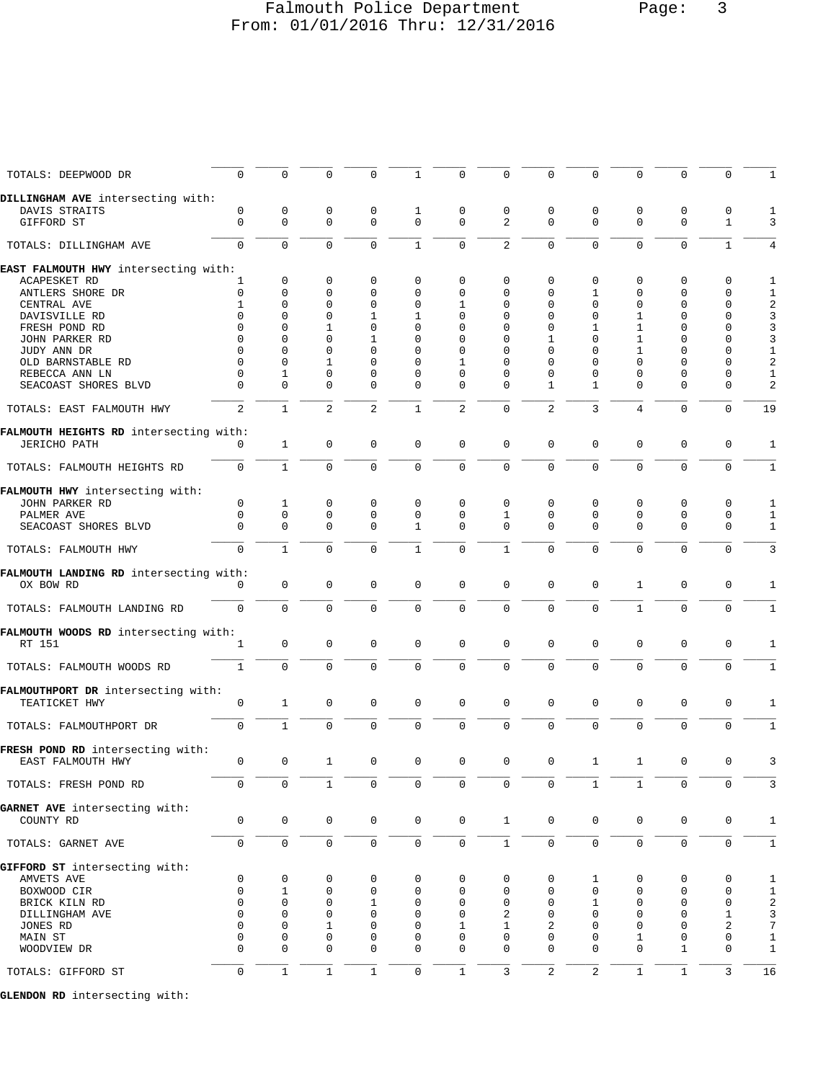## Falmouth Police Department Page: 3 From: 01/01/2016 Thru: 12/31/2016

| TOTALS: DEEPWOOD DR                    | 0                   | $\mathbf 0$  | $\Omega$            | 0           | 1                   | 0                   | 0              | $\Omega$         | 0                       | $\Omega$            | $\Omega$            | 0                   |                         |
|----------------------------------------|---------------------|--------------|---------------------|-------------|---------------------|---------------------|----------------|------------------|-------------------------|---------------------|---------------------|---------------------|-------------------------|
| DILLINGHAM AVE intersecting with:      |                     |              |                     |             |                     |                     |                |                  |                         |                     |                     |                     |                         |
| DAVIS STRAITS                          | 0                   | 0            | 0                   | 0           | 1                   | 0                   | 0              | 0                | 0                       | 0                   | 0                   | 0                   |                         |
|                                        |                     |              | $\mathbf 0$         |             | $\mathbf 0$         | $\mathbf 0$         |                |                  |                         | $\mathbf 0$         |                     |                     |                         |
| GIFFORD ST                             | $\mathbf 0$         | $\mathbf 0$  |                     | $\mathbf 0$ |                     |                     | 2              | 0                | $\mathbf 0$             |                     | $\mathbf 0$         | $\mathbf{1}$        | 3                       |
| TOTALS: DILLINGHAM AVE                 | $\overline{0}$      | $\mathbf 0$  | $\mathbf 0$         | $\mathbf 0$ | $\mathbf{1}$        | $\mathsf 0$         | $\overline{2}$ | $\overline{0}$   | $\mathbf 0$             | $\mathbf 0$         | $\mathbf 0$         | $\mathbf{1}$        | 4                       |
|                                        |                     |              |                     |             |                     |                     |                |                  |                         |                     |                     |                     |                         |
| EAST FALMOUTH HWY intersecting with:   |                     |              |                     |             |                     |                     |                |                  |                         |                     |                     |                     |                         |
| ACAPESKET RD                           | 1                   | 0            | 0                   | $\mathbf 0$ | 0                   | 0                   | 0              | 0                | 0                       | $\mathbf 0$         | $\mathbf 0$         | $\mathbf 0$         | 1                       |
| ANTLERS SHORE DR                       | 0                   | 0            | 0                   | 0           | $\mathbf 0$         | 0                   | $\Omega$       | $\Omega$         | 1                       | $\Omega$            | $\mathbf 0$         | $\mathbf 0$         | 1                       |
| CENTRAL AVE                            | 1                   | 0            | 0                   | $\mathbf 0$ | $\mathbf 0$         | 1                   | 0              | $\Omega$         | $\Omega$                | $\mathbf 0$         | $\Omega$            | $\mathbf 0$         | $\overline{\mathbf{c}}$ |
|                                        | $\Omega$            | 0            | 0                   | 1           |                     | 0                   | 0              | 0                | 0                       | 1                   | $\Omega$            | $\mathbf 0$         |                         |
| DAVISVILLE RD                          |                     |              |                     |             | 1                   |                     |                |                  |                         |                     |                     |                     | 3                       |
| FRESH POND RD                          | $\Omega$            | $\Omega$     | 1                   | $\Omega$    | $\Omega$            | $\Omega$            | 0              | $\Omega$         | 1                       | 1                   | $\Omega$            | $\mathbf 0$         | 3                       |
| JOHN PARKER RD                         | $\Omega$            | $\Omega$     | $\Omega$            | 1           | $\Omega$            | 0                   | $\Omega$       | 1                | $\Omega$                | 1                   | $\Omega$            | $\mathbf 0$         | 3                       |
| JUDY ANN DR                            | $\Omega$            | 0            | $\Omega$            | $\mathbf 0$ | $\mathbf 0$         | 0                   | $\Omega$       | $\Omega$         | 0                       | 1                   | $\Omega$            | $\mathbf 0$         | 1                       |
| OLD BARNSTABLE RD                      | $\Omega$            | $\Omega$     | 1                   | 0           | $\mathbf 0$         | 1                   | 0              | $\Omega$         | $\Omega$                | $\Omega$            | $\mathbf 0$         | 0                   | $\overline{a}$          |
|                                        | $\Omega$            |              | 0                   | $\mathbf 0$ | $\mathbf 0$         | 0                   |                | 0                |                         | $\mathbf 0$         | $\mathbf 0$         | $\mathbf 0$         |                         |
| REBECCA ANN LN                         |                     | 1            |                     |             |                     |                     | 0              |                  | 0                       |                     |                     |                     | 1                       |
| SEACOAST SHORES BLVD                   | $\Omega$            | 0            | $\Omega$            | $\mathbf 0$ | 0                   | 0                   | $\Omega$       | 1                | 1                       | $\mathbf 0$         | $\mathbf 0$         | $\mathbf 0$         | 2                       |
| TOTALS: EAST FALMOUTH HWY              | $\overline{2}$      | $\mathbf{1}$ | $\overline{2}$      | 2           | $\mathbf{1}$        | $\overline{2}$      | $\mathbf 0$    | $\overline{2}$   | 3                       | $\overline{4}$      | $\mathbf 0$         | $\mathbf 0$         | 19                      |
|                                        |                     |              |                     |             |                     |                     |                |                  |                         |                     |                     |                     |                         |
| FALMOUTH HEIGHTS RD intersecting with: |                     |              |                     |             |                     |                     |                |                  |                         |                     |                     |                     |                         |
| <b>JERICHO PATH</b>                    | $\Omega$            | $\mathbf{1}$ | 0                   | 0           | $\mathbf 0$         | $\mathbf 0$         | $\mathbf 0$    | 0                | $\mathbf 0$             | $\mathbf{0}$        | 0                   | $\mathbf 0$         | $\mathbf{1}$            |
| TOTALS: FALMOUTH HEIGHTS RD            | $\mathbf 0$         | $\mathbf{1}$ | $\mathbf 0$         | 0           | $\mathbf 0$         | $\mathbf 0$         | 0              | 0                | $\mathbf 0$             | $\mathbf{0}$        | $\mathbf 0$         | $\mathbf 0$         | $\mathbf{1}$            |
|                                        |                     |              |                     |             |                     |                     |                |                  |                         |                     |                     |                     |                         |
| FALMOUTH HWY intersecting with:        |                     |              |                     |             |                     |                     |                |                  |                         |                     |                     |                     |                         |
| JOHN PARKER RD                         | $\mathbf 0$         | $\mathbf 1$  | 0                   | $\mathbf 0$ | $\Omega$            | 0                   | $\mathbf 0$    | 0                | 0                       | $\mathbf 0$         | $\mathbf 0$         | $\mathbf 0$         | 1                       |
| PALMER AVE                             | $\mathbf 0$         | $\mathbf 0$  | $\mathbf 0$         | $\mathbf 0$ | $\mathbf 0$         | $\mathbf 0$         | 1              | 0                | 0                       | $\mathbf{0}$        | $\mathbf 0$         | $\mathbf 0$         | 1                       |
| SEACOAST SHORES BLVD                   | 0                   | $\Omega$     | $\Omega$            | $\mathbf 0$ | 1                   | 0                   | $\Omega$       | $\Omega$         | $\Omega$                | $\Omega$            | $\mathbf 0$         | $\mathbf 0$         | $\mathbf{1}$            |
|                                        |                     |              |                     |             |                     |                     |                |                  |                         |                     |                     |                     |                         |
| TOTALS: FALMOUTH HWY                   | $\mathbf 0$         | $\mathbf{1}$ | $\mathbf 0$         | $\Omega$    | $\mathbf{1}$        | $\mathbf 0$         | $1\,$          | 0                | $\mathbf 0$             | $\mathbf{0}$        | $\Omega$            | $\mathbf 0$         | 3                       |
|                                        |                     |              |                     |             |                     |                     |                |                  |                         |                     |                     |                     |                         |
| FALMOUTH LANDING RD intersecting with: |                     |              |                     |             |                     |                     |                |                  |                         |                     |                     |                     |                         |
| OX BOW RD                              | 0                   | $\mathbf 0$  | $\mathbf 0$         | $\mathbf 0$ | $\mathbf 0$         | $\mathbf 0$         | $\mathbf 0$    | 0                | $\mathbf 0$             | 1                   | 0                   | $\mathbf 0$         | $\mathbf{1}$            |
| TOTALS: FALMOUTH LANDING RD            | $\mathbf 0$         | $\mathbf 0$  | $\mathbf 0$         | $\mathbf 0$ | $\mathbf 0$         | $\mathbf 0$         | $\mathbf 0$    | 0                | $\mathbf 0$             | 1                   | 0                   | $\mathbf 0$         | 1                       |
|                                        |                     |              |                     |             |                     |                     |                |                  |                         |                     |                     |                     |                         |
| FALMOUTH WOODS RD intersecting with:   |                     |              |                     |             |                     |                     |                |                  |                         |                     |                     |                     |                         |
| RT 151                                 | 1                   | 0            | $\mathbf 0$         | $\mathbf 0$ | $\mathbf 0$         | $\mathbf 0$         | $\mathbf 0$    | 0                | $\mathbf 0$             | $\mathbf{0}$        | 0                   | $\mathbf 0$         | 1                       |
|                                        |                     |              |                     |             |                     |                     |                |                  |                         |                     |                     |                     |                         |
| TOTALS: FALMOUTH WOODS RD              | $\mathbf{1}$        | $\mathbf 0$  | $\mathbf 0$         | $\Omega$    | $\mathbf 0$         | $\mathbf 0$         | $\mathbf{0}$   | $\mathbf 0$      | $\mathbf 0$             | $\mathbf 0$         | $\Omega$            | $\mathbf 0$         | $\mathbf{1}$            |
|                                        |                     |              |                     |             |                     |                     |                |                  |                         |                     |                     |                     |                         |
|                                        |                     |              |                     |             |                     |                     |                |                  |                         |                     |                     |                     |                         |
| FALMOUTHPORT DR intersecting with:     |                     |              |                     |             |                     |                     |                |                  |                         |                     |                     |                     |                         |
| TEATICKET HWY                          | 0                   | $\mathbf{1}$ | 0                   | 0           | $\mathbf 0$         | $\mathbf 0$         | $\mathbf 0$    | 0                | $\mathsf 0$             | $\mathbf 0$         | 0                   | $\mathbf 0$         | 1                       |
|                                        |                     |              |                     |             |                     |                     |                |                  |                         |                     |                     |                     |                         |
| TOTALS: FALMOUTHPORT DR                | $\mathbf 0$         | $\mathbf{1}$ | $\mathbf 0$         | $\mathbf 0$ | $\mathbf 0$         | $\mathbf 0$         | $\mathbf 0$    | $\mathbf 0$      | $\mathbf 0$             | $\mathbf 0$         | $\mathbf 0$         | $\mathbf 0$         | $\mathbf{1}$            |
|                                        |                     |              |                     |             |                     |                     |                |                  |                         |                     |                     |                     |                         |
| FRESH POND RD intersecting with:       |                     |              |                     |             |                     |                     |                |                  |                         |                     |                     |                     |                         |
| EAST FALMOUTH HWY                      | 0                   | $\mathsf 0$  | 1                   | 0           | $\mathbf 0$         | $\mathsf 0$         | 0              | 0                | 1                       | 1                   | 0                   | $\mathbf 0$         | 3                       |
|                                        |                     |              |                     |             |                     |                     |                |                  |                         |                     |                     |                     |                         |
| TOTALS: FRESH POND RD                  | $\mathbf 0$         | $\mathbf 0$  | $\mathbf{1}$        | $\mathbf 0$ | $\mathbf 0$         | $\mathsf 0$         | $\mathbf 0$    | $\mathsf 0$      | $\mathbf{1}$            | $\mathbf{1}$        | 0                   | $\mathbf 0$         | 3                       |
|                                        |                     |              |                     |             |                     |                     |                |                  |                         |                     |                     |                     |                         |
| GARNET AVE intersecting with:          |                     |              |                     |             |                     |                     |                |                  |                         |                     |                     |                     |                         |
| COUNTY RD                              | 0                   | $\mathsf{O}$ | $\mathbf 0$         | 0           | $\mathsf{O}\xspace$ | $\mathsf 0$         | $\mathbf{1}$   | 0                | 0                       | $\mathbf 0$         | $\mathbf 0$         | 0                   | $\mathbf{1}$            |
|                                        |                     |              |                     |             |                     |                     |                |                  |                         |                     |                     |                     |                         |
| TOTALS: GARNET AVE                     | 0                   | $\mathsf{O}$ | $\mathsf{O}\xspace$ | $\mathbf 0$ | $\mathsf 0$         | $\mathsf{O}\xspace$ | $\mathbf{1}$   | 0                | 0                       | $\mathsf{O}\xspace$ | $\mathsf{O}\xspace$ | $\mathsf{O}\xspace$ | $\mathbf{1}$            |
|                                        |                     |              |                     |             |                     |                     |                |                  |                         |                     |                     |                     |                         |
| GIFFORD ST intersecting with:          |                     |              |                     |             |                     |                     |                |                  |                         |                     |                     |                     |                         |
| AMVETS AVE                             | 0                   | 0            | 0                   | 0           | $\mathbf 0$         | $\mathsf 0$         | 0              | 0                | 1                       | $\mathbf 0$         | 0                   | $\mathbf 0$         | $\mathbf{1}$            |
| BOXWOOD CIR                            | $\mathbf 0$         | 1            | $\mathbf 0$         | $\mathbf 0$ | $\mathbf 0$         | $\mathsf 0$         | 0              | 0                | 0                       | $\mathbf 0$         | $\mathbf 0$         | $\mathbf 0$         | $\mathbf{1}$            |
| BRICK KILN RD                          | $\mathbf 0$         | 0            | 0                   | 1           | 0                   | 0                   | 0              | 0                | 1                       | $\mathbf 0$         | $\mathbf 0$         | $\mathbf 0$         | $\overline{c}$          |
| DILLINGHAM AVE                         | $\mathbf 0$         | 0            | $\mathbf 0$         | $\mathbf 0$ | $\mathbf 0$         | $\mathbf 0$         | 2              | 0                | 0                       | $\mathbf 0$         | $\mathbf 0$         | $\mathbf{1}$        | 3                       |
|                                        |                     |              |                     |             |                     |                     |                |                  |                         |                     |                     |                     |                         |
| JONES RD                               | $\Omega$            | 0            | 1                   | $\Omega$    | 0                   | 1                   | 1              | 2                | 0                       | $\mathbf 0$         | $\mathbf 0$         | 2                   | 7                       |
| MAIN ST                                | 0                   | 0            | 0                   | $\mathbf 0$ | $\mathbf 0$         | 0                   | 0              | 0                | 0                       | 1                   | $\mathbf 0$         | 0                   | 1                       |
| WOODVIEW DR                            | $\Omega$            | 0            | $\Omega$            | $\mathbf 0$ | $\mathbf 0$         | $\mathbf 0$         | $\Omega$       | $\Omega$         | 0                       | $\mathbf{0}$        | $\mathbf{1}$        | $\mathbf 0$         | $\mathbf{1}$            |
|                                        |                     |              |                     |             |                     |                     |                |                  |                         |                     |                     |                     |                         |
| TOTALS: GIFFORD ST                     | $\mathsf{O}\xspace$ | $\mathbf 1$  | $\mathbf 1$         | $1\,$       | $\mathsf 0$         | $1\,$               | 3              | $\boldsymbol{2}$ | $\overline{\mathbf{c}}$ | $\mathbf 1$         | $1\,$               | $\mathbf{3}$        | 16                      |
|                                        |                     |              |                     |             |                     |                     |                |                  |                         |                     |                     |                     |                         |

**GLENDON RD** intersecting with: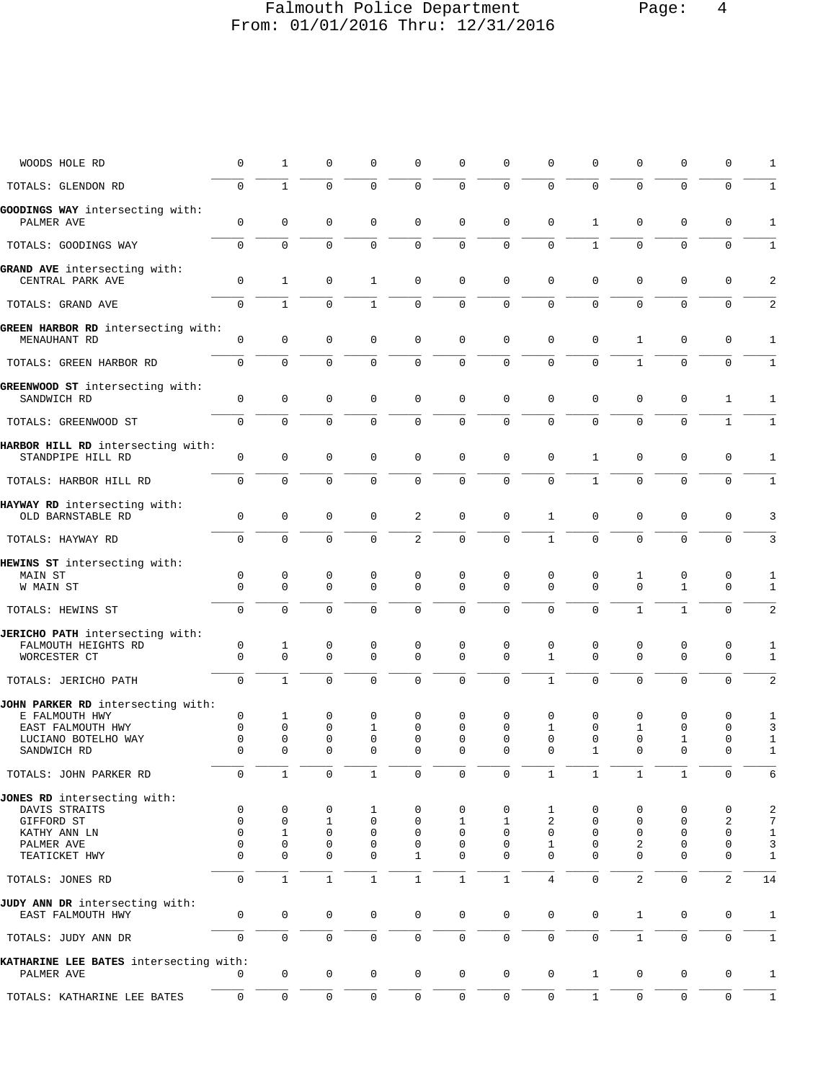## Falmouth Police Department Page: 4 From: 01/01/2016 Thru: 12/31/2016

| WOODS HOLE RD                                                                                                  | $\mathbf 0$                                 | $\mathbf{1}$                                  | $\mathbf 0$                                 | 0                       | $\mathbf 0$                              | 0                              | $\mathbf 0$                              | 0                                 | $\mathbf 0$                                     | $\mathbf 0$                        | 0                                 | 0                          | $\mathbf{1}$                           |
|----------------------------------------------------------------------------------------------------------------|---------------------------------------------|-----------------------------------------------|---------------------------------------------|-------------------------|------------------------------------------|--------------------------------|------------------------------------------|-----------------------------------|-------------------------------------------------|------------------------------------|-----------------------------------|----------------------------|----------------------------------------|
| TOTALS: GLENDON RD                                                                                             | $\mathbf 0$                                 | $\mathbf{1}$                                  | $\Omega$                                    | $\Omega$                | $\mathbf 0$                              | $\mathbf 0$                    | $\mathbf 0$                              | 0                                 | $\mathbf 0$                                     | $\mathbf 0$                        | $\mathbf 0$                       | $\mathbf 0$                | $\mathbf{1}$                           |
| GOODINGS WAY intersecting with:<br>PALMER AVE                                                                  | $\mathbf 0$                                 | $\mathbf 0$                                   | $\mathbf 0$                                 | $\mathbf 0$             | $\mathbf 0$                              | $\mathbf 0$                    | $\mathbf 0$                              | 0                                 | $\mathbf{1}$                                    | $\mathbf 0$                        | $\mathbf 0$                       | $\mathsf 0$                | $\mathbf{1}$                           |
| TOTALS: GOODINGS WAY                                                                                           | $\mathbf 0$                                 | $\mathbf 0$                                   | $\mathbf 0$                                 | $\mathbf 0$             | $\mathbf 0$                              | 0                              | $\mathbf 0$                              | 0                                 | $\mathbf{1}$                                    | $\mathbf 0$                        | $\mathbf 0$                       | $\mathbf 0$                | $\mathbf{1}$                           |
| GRAND AVE intersecting with:<br>CENTRAL PARK AVE                                                               | $\mathbf 0$                                 | $\mathbf{1}$                                  | $\mathbf 0$                                 | 1                       | $\mathbf 0$                              | $\mathbf 0$                    | $\mathbf 0$                              | $\mathbf{0}$                      | $\mathbf 0$                                     | $\mathbf{0}$                       | $\mathbf 0$                       | 0                          | 2                                      |
| TOTALS: GRAND AVE                                                                                              | $\mathbf 0$                                 | $\mathbf{1}$                                  | $\Omega$                                    | $\mathbf{1}$            | $\mathbf 0$                              | $\mathbf 0$                    | $\mathbf 0$                              | $\mathbf{0}$                      | $\mathbf 0$                                     | $\Omega$                           | $\Omega$                          | 0                          | $\overline{a}$                         |
| GREEN HARBOR RD intersecting with:<br>MENAUHANT RD                                                             | 0                                           | $\mathbf 0$                                   | $\mathbf 0$                                 | 0                       | $\mathbf 0$                              | 0                              | $\mathbf 0$                              | $\mathbf 0$                       | $\mathbf 0$                                     | $\mathbf{1}$                       | $\mathbf 0$                       | 0                          | 1                                      |
| TOTALS: GREEN HARBOR RD                                                                                        | $\mathbf 0$                                 | $\mathbf 0$                                   | $\mathbf 0$                                 | $\mathbf 0$             | $\mathbf 0$                              | $\mathbf 0$                    | $\mathbf 0$                              | $\Omega$                          | $\Omega$                                        | $\mathbf{1}$                       | $\Omega$                          | $\mathbf 0$                | $\mathbf{1}$                           |
| GREENWOOD ST intersecting with:<br>SANDWICH RD                                                                 | $\mathbf 0$                                 | 0                                             | $\mathbf 0$                                 | $\mathbf 0$             | $\mathsf 0$                              | $\mathsf 0$                    | $\mathbf 0$                              | $\mathbf 0$                       | $\mathbf 0$                                     | $\mathbf 0$                        | 0                                 | 1                          | 1                                      |
| TOTALS: GREENWOOD ST                                                                                           | $\mathbf{0}$                                | $\mathbf 0$                                   | $\mathbf 0$                                 | $\mathbf 0$             | $\mathbf 0$                              | $\mathsf 0$                    | $\mathbf 0$                              | 0                                 | $\mathbf 0$                                     | $\mathbf 0$                        | $\mathbf 0$                       | $\mathbf{1}$               | $\mathbf{1}$                           |
| HARBOR HILL RD intersecting with:<br>STANDPIPE HILL RD                                                         | $\mathbf 0$                                 | $\mathbf 0$                                   | $\mathbf 0$                                 | 0                       | $\mathbf 0$                              | $\mathsf 0$                    | $\mathbf 0$                              | $\mathbf 0$                       | $\mathbf{1}$                                    | $\mathbf 0$                        | $\mathbf 0$                       | 0                          | 1                                      |
| TOTALS: HARBOR HILL RD                                                                                         | $\mathbf 0$                                 | 0                                             | $\mathbf 0$                                 | 0                       | $\mathbf 0$                              | $\mathbf 0$                    | $\mathbf 0$                              | 0                                 | $\mathbf{1}$                                    | $\mathbf 0$                        | $\mathbf 0$                       | 0                          | $\mathbf{1}$                           |
| HAYWAY RD intersecting with:<br>OLD BARNSTABLE RD                                                              | $\mathbf 0$                                 | $\mathsf 0$                                   | $\mathbf 0$                                 | $\mathbf 0$             | 2                                        | $\mathbf 0$                    | $\mathbf 0$                              | $\mathbf{1}$                      | $\mathbf 0$                                     | $\mathbf 0$                        | $\mathbf 0$                       | $\mathbf 0$                | 3                                      |
| TOTALS: HAYWAY RD                                                                                              | $\mathbf 0$                                 | $\Omega$                                      | $\mathbf 0$                                 | 0                       | 2                                        | $\mathbf 0$                    | $\mathbf 0$                              | $\mathbf{1}$                      | $\mathbf 0$                                     | $\mathbf 0$                        | $\mathbf 0$                       | $\mathbf 0$                | 3                                      |
| HEWINS ST intersecting with:<br>MAIN ST<br>W MAIN ST                                                           | 0<br>$\Omega$                               | 0<br>$\mathbf 0$                              | 0<br>$\mathbf 0$                            | 0<br>$\mathbf 0$        | 0<br>$\mathbf 0$                         | 0<br>$\Omega$                  | 0<br>$\Omega$                            | 0<br>$\Omega$                     | 0<br>$\Omega$                                   | $\mathbf{1}$<br>$\Omega$           | 0<br>$\mathbf{1}$                 | 0<br>$\mathbf 0$           | $\mathbf{1}$<br>$\mathbf{1}$           |
| TOTALS: HEWINS ST                                                                                              | $\mathbf 0$                                 | $\Omega$                                      | $\Omega$                                    | 0                       | $\mathbf 0$                              | $\mathbf 0$                    | $\Omega$                                 | $\Omega$                          | $\Omega$                                        | $\mathbf{1}$                       | $\mathbf{1}$                      | $\mathbf 0$                | 2                                      |
| JERICHO PATH intersecting with:<br>FALMOUTH HEIGHTS RD<br>WORCESTER CT                                         | 0<br>$\Omega$                               | 1<br>$\mathbf 0$                              | 0<br>$\mathbf 0$                            | 0<br>$\mathbf 0$        | 0<br>$\mathbf 0$                         | 0<br>$\mathbf 0$               | $\mathbf 0$<br>$\Omega$                  | 0<br>$\mathbf{1}$                 | 0<br>$\Omega$                                   | 0<br>$\mathbf{0}$                  | 0<br>$\mathbf 0$                  | 0<br>$\mathbf 0$           | 1<br>$\mathbf{1}$                      |
| TOTALS: JERICHO PATH                                                                                           | $\mathbf 0$                                 | $\mathbf{1}$                                  | $\mathbf 0$                                 | $\mathbf 0$             | $\mathbf 0$                              | $\mathbf 0$                    | $\mathbf 0$                              | $\mathbf{1}$                      | $\mathbf 0$                                     | $\mathbf 0$                        | $\mathbf 0$                       | $\mathbf 0$                | $\overline{a}$                         |
| JOHN PARKER RD intersecting with:<br>E FALMOUTH HWY<br>EAST FALMOUTH HWY<br>LUCIANO BOTELHO WAY<br>SANDWICH RD | 0<br>$\mathbf 0$<br>$\mathbf 0$<br>$\Omega$ | $\mathbf{1}$<br>$\mathbf{0}$<br>0<br>$\Omega$ | 0<br>$\mathbf 0$<br>$\mathbf 0$<br>$\Omega$ | 0<br>1<br>0<br>$\Omega$ | 0<br>$\Omega$<br>$\mathbf 0$<br>$\Omega$ | 0<br>$\Omega$<br>0<br>$\Omega$ | 0<br>$\Omega$<br>$\mathbf 0$<br>$\Omega$ | 0<br>1<br>$\mathbf 0$<br>$\Omega$ | 0<br>$\mathbf 0$<br>$\mathbf 0$<br>$\mathbf{1}$ | 0<br>$\mathbf{1}$<br>0<br>$\Omega$ | 0<br>$\mathbf 0$<br>1<br>$\Omega$ | 0<br>0<br>0<br>0           | 1<br>3<br>$\mathbf{1}$<br>$\mathbf{1}$ |
| TOTALS: JOHN PARKER RD                                                                                         | 0                                           | $\mathbf{1}$                                  | 0                                           | $\mathbf{1}$            | 0                                        | 0                              | 0                                        | $\mathbf{1}$                      | $\mathbf{1}$                                    | $\mathbf{1}$                       | $\mathbf{1}$                      | 0                          | 6                                      |
| JONES RD intersecting with:<br>DAVIS STRAITS<br>GIFFORD ST                                                     | 0<br>$\mathbf 0$                            | 0<br>0                                        | 0<br>1                                      | 1<br>0                  | $\mathbf 0$<br>0                         | 0<br>1                         | 0<br>$\mathbf{1}$                        | 1<br>2                            | 0<br>$\mathbf 0$                                | 0<br>$\mathbf 0$                   | 0<br>$\mathbf 0$                  | 0<br>2                     | $\sqrt{2}$<br>7                        |
| KATHY ANN LN                                                                                                   | $\Omega$                                    | 1                                             | 0                                           | 0                       | $\mathbf 0$                              | 0                              | $\mathbf 0$                              | $\mathbf 0$                       | $\mathbf 0$                                     | 0                                  | $\mathbf 0$                       | 0                          | $\mathbf{1}$                           |
| PALMER AVE<br>TEATICKET HWY                                                                                    | $\mathbf{0}$<br>$\Omega$                    | $\mathbf{0}$<br>$\mathbf{0}$                  | $\mathbf 0$<br>$\Omega$                     | $\mathbf 0$<br>0        | 0<br>$\mathbf{1}$                        | 0<br>$\mathbf 0$               | $\mathbf 0$<br>$\Omega$                  | 1<br>$\Omega$                     | $\mathbf 0$<br>$\Omega$                         | 2<br>$\mathbf 0$                   | $\mathbf 0$<br>$\mathbf 0$        | $\mathsf 0$<br>$\mathbf 0$ | 3<br>$\mathbf{1}$                      |
| TOTALS: JONES RD                                                                                               | $\mathbf 0$                                 | $\mathbf{1}$                                  | $\mathbf{1}$                                | 1                       | $\mathbf{1}$                             | $\mathbf{1}$                   | $\mathbf{1}$                             | 4                                 | $\Omega$                                        | 2                                  | $\mathbf 0$                       | $\overline{\mathbf{c}}$    | 14                                     |
| JUDY ANN DR intersecting with:<br>EAST FALMOUTH HWY                                                            | $\mathbf 0$                                 | $\mathbf 0$                                   | $\mathbf 0$                                 | 0                       | 0                                        | 0                              | $\mathbf 0$                              | $\mathbf 0$                       | $\mathbf 0$                                     | $\mathbf{1}$                       | $\mathbf 0$                       | 0                          | 1                                      |
| TOTALS: JUDY ANN DR                                                                                            | $\mathsf 0$                                 | $\mathsf 0$                                   | $\mathsf{O}\xspace$                         | $\mathbf 0$             | $\mathsf{O}$                             | $\mathsf 0$                    | $\mathsf 0$                              | $\mathbf 0$                       | $\mathsf{O}\xspace$                             | $\mathbf 1$                        | $\mathsf 0$                       | $\mathbf 0$                | $\mathbf 1$                            |
| KATHARINE LEE BATES intersecting with:<br>PALMER AVE                                                           | $\Omega$                                    | $\mathbf 0$                                   | 0                                           | 0                       | $\mathbf 0$                              | $\mathbf 0$                    | $\mathbf 0$                              | 0                                 | $\mathbf 1$                                     | $\mathsf{O}$                       | $\mathbf 0$                       | 0                          | $\mathbf{1}$                           |
| TOTALS: KATHARINE LEE BATES                                                                                    | 0                                           | $\mathsf{O}$                                  | 0                                           | 0                       | 0                                        | 0                              | 0                                        | $\mathsf{O}$                      | $\mathbf{1}$                                    | $\mathsf{O}$                       | $\mathbf 0$                       | 0                          | $\mathbf{1}$                           |
|                                                                                                                |                                             |                                               |                                             |                         |                                          |                                |                                          |                                   |                                                 |                                    |                                   |                            |                                        |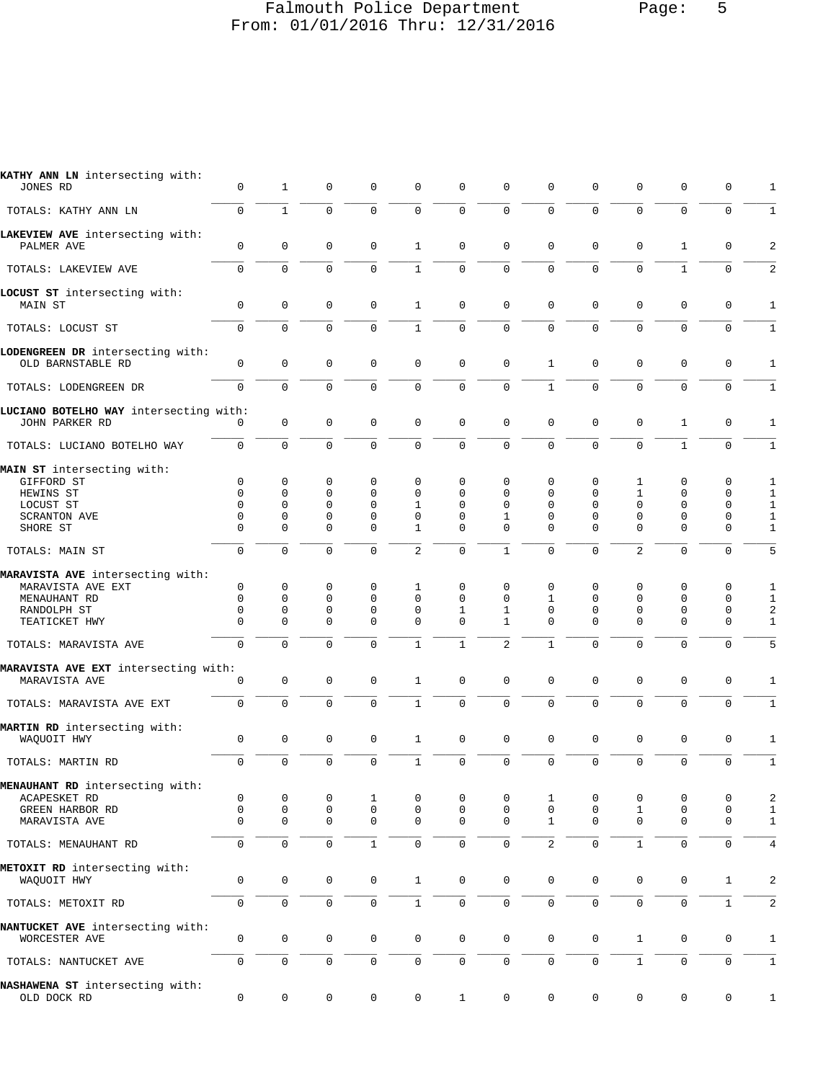#### Falmouth Police Department Page: 5 From: 01/01/2016 Thru: 12/31/2016

| KATHY ANN LN intersecting with:<br>JONES RD              | 0                   | 1                   | 0           | 0            | 0                   | 0            | $\Omega$       | 0              | 0                   | 0              | 0            | 0            | 1            |
|----------------------------------------------------------|---------------------|---------------------|-------------|--------------|---------------------|--------------|----------------|----------------|---------------------|----------------|--------------|--------------|--------------|
| TOTALS: KATHY ANN LN                                     | $\mathsf 0$         | $1\,$               | 0           | $\mathbf 0$  | $\mathsf 0$         | $\mathsf 0$  | $\mathbf 0$    | 0              | $\mathbf 0$         | $\mathbf{0}$   | 0            | $\mathbf 0$  | 1            |
| LAKEVIEW AVE intersecting with:<br>PALMER AVE            | $\mathbf 0$         | $\mathsf 0$         | 0           | 0            | $\mathbf{1}$        | $\mathbf 0$  | $\mathbf{0}$   | 0              | $\mathbf 0$         | $\mathbf{0}$   | 1            | 0            | 2            |
| TOTALS: LAKEVIEW AVE                                     | 0                   | 0                   | $\Omega$    | $\mathbf 0$  | $\mathbf{1}$        | $\mathbf 0$  | $\Omega$       | 0              | $\Omega$            | $\mathbf 0$    | $\mathbf{1}$ | $\mathbf 0$  | 2            |
| LOCUST ST intersecting with:                             |                     |                     |             |              |                     |              |                |                |                     |                |              |              |              |
| MAIN ST                                                  | 0                   | $\mathbf 0$         | $\mathbf 0$ | $\mathbf 0$  | $\mathbf{1}$        | $\mathbf 0$  | $\mathbf 0$    | 0              | $\mathbf 0$         | $\mathbf{0}$   | $\mathbf 0$  | $\mathbf 0$  | $\mathbf{1}$ |
| TOTALS: LOCUST ST                                        | $\mathbf 0$         | $\mathbf 0$         | 0           | $\mathbf 0$  | $\mathbf{1}$        | $\mathbf 0$  | 0              | 0              | $\mathbf 0$         | $\mathbf 0$    | $\Omega$     | $\mathbf 0$  | 1            |
| LODENGREEN DR intersecting with:<br>OLD BARNSTABLE RD    | $\mathbf 0$         | $\mathsf 0$         | 0           | 0            | $\mathbf{0}$        | $\mathbf 0$  | $\mathbf 0$    | $\mathbf{1}$   | $\mathbf 0$         | $\mathbf{0}$   | $\mathbf 0$  | 0            | 1            |
|                                                          | $\mathbf 0$         | 0                   | $\Omega$    | $\mathbf 0$  | $\mathbf 0$         | $\mathbf 0$  | $\mathbf 0$    | $\mathbf{1}$   | $\mathbf 0$         | $\mathbf 0$    | $\Omega$     | $\mathbf 0$  | $\mathbf{1}$ |
| TOTALS: LODENGREEN DR                                    |                     |                     |             |              |                     |              |                |                |                     |                |              |              |              |
| LUCIANO BOTELHO WAY intersecting with:<br>JOHN PARKER RD | 0                   | 0                   | 0           | 0            | 0                   | $\mathbf 0$  | $\mathbf 0$    | 0              | $\mathbf 0$         | $\mathbf 0$    | 1            | 0            | $\mathbf{1}$ |
| TOTALS: LUCIANO BOTELHO WAY                              | 0                   | $\mathbf 0$         | 0           | 0            | $\mathbf 0$         | $\mathbf 0$  | $\Omega$       | $\Omega$       | $\Omega$            | $\mathbf 0$    | $\mathbf{1}$ | $\mathbf 0$  | 1            |
| MAIN ST intersecting with:                               |                     |                     |             |              |                     |              |                |                |                     |                |              |              |              |
| GIFFORD ST                                               | $\mathsf 0$         | 0                   | 0           | 0            | 0                   | $\Omega$     | $\Omega$       | 0              | 0                   | 1              | 0            | 0            | 1            |
| HEWINS ST                                                | 0                   | 0                   | 0           | 0            | 0                   | 0            | 0              | 0              | 0                   | 1              | 0            | 0            | 1            |
| LOCUST ST                                                | $\Omega$            | 0                   | 0           | 0            | $\mathbf 1$         | $\Omega$     | $\Omega$       | $\Omega$       | $\Omega$            | 0              | 0            | 0            | $\mathbf{1}$ |
| <b>SCRANTON AVE</b>                                      | $\Omega$            | 0                   | 0           | $\mathbf 0$  | 0                   | $\Omega$     | 1              | $\Omega$       | $\Omega$            | $\Omega$       | 0            | $\mathbf 0$  | 1            |
| SHORE ST                                                 | $\Omega$            | $\Omega$            | $\Omega$    | 0            | 1                   | $\Omega$     | $\Omega$       | $\Omega$       | $\Omega$            | $\Omega$       | $\Omega$     | 0            | 1            |
| TOTALS: MAIN ST                                          | $\mathsf 0$         | 0                   | 0           | $\mathbf 0$  | 2                   | $\mathbf 0$  | $\mathbf{1}$   | $\Omega$       | $\mathbf 0$         | $\overline{2}$ | $\Omega$     | $\mathbf 0$  | 5            |
| MARAVISTA AVE intersecting with:                         |                     |                     |             |              |                     |              |                |                |                     |                |              |              |              |
| MARAVISTA AVE EXT                                        | 0                   | 0                   | 0           | 0            | 1                   | 0            | $\mathbf 0$    | 0              | 0                   | 0              | 0            | 0            | 1            |
| MENAUHANT RD                                             | $\Omega$            | 0                   | 0           | $\mathbf 0$  | $\Omega$            | $\Omega$     | $\Omega$       | 1              | $\Omega$            | $\Omega$       | $\Omega$     | $\mathbf 0$  | 1            |
| RANDOLPH ST                                              | 0                   | 0                   | $\mathbf 0$ | $\mathbf 0$  | 0                   | $\mathbf{1}$ | 1              | 0              | 0                   | $\mathbf 0$    | 0            | 0            | 2            |
| TEATICKET HWY                                            | $\Omega$            | $\Omega$            | $\Omega$    | $\Omega$     | $\Omega$            | $\Omega$     | 1              | $\Omega$       | $\Omega$            | $\Omega$       | 0            | 0            | 1            |
| TOTALS: MARAVISTA AVE                                    | $\mathbf 0$         | $\Omega$            | $\Omega$    | $\Omega$     | $\mathbf{1}$        | $\mathbf{1}$ | $\overline{a}$ | $\mathbf{1}$   | $\Omega$            | $\mathbf 0$    | $\Omega$     | $\mathbf 0$  | 5            |
| MARAVISTA AVE EXT intersecting with:                     |                     |                     |             |              |                     |              |                |                |                     |                |              |              |              |
| MARAVISTA AVE                                            | $\mathsf 0$         | $\mathsf{O}\xspace$ | 0           | 0            | $\mathbf{1}$        | $\mathbf 0$  | $\mathbf{0}$   | 0              | $\mathbf 0$         | $\mathbf 0$    | $\mathbf 0$  | 0            | 1            |
| TOTALS: MARAVISTA AVE EXT                                | $\mathbf 0$         | 0                   | 0           | $\mathbf 0$  | $\mathbf{1}$        | $\mathbf 0$  | $\mathbf 0$    | 0              | $\mathbf 0$         | $\mathbf{0}$   | $\mathbf{0}$ | 0            | 1            |
| MARTIN RD intersecting with:                             |                     |                     |             |              |                     |              |                |                |                     |                |              |              |              |
| WAQUOIT HWY                                              | 0                   | 0                   | $\mathbf 0$ | $\mathbf 0$  | $\mathbf{1}$        | $\mathbf 0$  | $\mathbf 0$    | 0              | $\mathbf 0$         | $\mathbf{0}$   | $\mathbf 0$  | 0            | 1            |
| TOTALS: MARTIN RD                                        | $\mathsf{O}\xspace$ | 0                   | 0           | $\mathsf 0$  | $\mathbf{1}$        | $\mathsf 0$  | 0              | $\mathsf 0$    | $\mathbf 0$         | $\mathbf{0}$   | 0            | $\mathsf 0$  | $1\,$        |
| MENAUHANT RD intersecting with:                          |                     |                     |             |              |                     |              |                |                |                     |                |              |              |              |
| ACAPESKET RD                                             | 0                   | 0                   | 0           | 1            | 0                   | 0            | 0              | $\mathbf{1}$   | 0                   | 0              | 0            | 0            | 2            |
| GREEN HARBOR RD                                          | 0                   | 0                   | 0           | 0            | 0                   | $\mathbf 0$  | 0              | 0              | 0                   | 1              | 0            | 0            | 1            |
| MARAVISTA AVE                                            | $\mathbf 0$         | $\mathbf 0$         | $\mathbf 0$ | $\mathbf 0$  | $\mathbf 0$         | $\mathbf 0$  | $\Omega$       | $\mathbf{1}$   | $\mathbf 0$         | $\mathbf 0$    | $\mathbf 0$  | $\mathbf 0$  | $\mathbf{1}$ |
| TOTALS: MENAUHANT RD                                     | $\mathsf{O}\xspace$ | $\mathsf 0$         | 0           | $\mathbf{1}$ | 0                   | $\mathsf 0$  | $\mathsf{O}$   | $\overline{2}$ | $\mathsf 0$         | $1\,$          | 0            | 0            | $\,4$        |
| METOXIT RD intersecting with:<br>WAQUOIT HWY             | $\mathbf 0$         | $\mathbf 0$         | 0           | 0            | $\mathbf{1}$        | $\mathbf 0$  | $\mathbf 0$    | $\mathbf 0$    | 0                   | 0              | $\mathbf 0$  | $\mathbf 1$  | 2            |
| TOTALS: METOXIT RD                                       | $\mathbf 0$         | $\mathbf 0$         | 0           | 0            | $\mathbf{1}$        | $\mathsf 0$  | 0              | 0              | $\mathsf{O}\xspace$ | $\mathsf 0$    | $\mathbf{0}$ | $\mathbf{1}$ | $\sqrt{2}$   |
| NANTUCKET AVE intersecting with:                         |                     |                     |             |              |                     |              |                |                |                     |                |              |              |              |
| WORCESTER AVE                                            | 0                   | $\mathsf 0$         | 0           | $\mathbf 0$  | $\mathsf{O}$        | $\mathbf 0$  | $\mathbf 0$    | $\mathbf 0$    | $\mathbf 0$         | $\mathbf{1}$   | 0            | 0            | $\mathbf{1}$ |
| TOTALS: NANTUCKET AVE                                    | $\mathbf 0$         | $\mathsf 0$         | $\mathbf 0$ | 0            | $\mathsf{O}$        | $\mathsf 0$  | $\mathbf 0$    | $\mathbf 0$    | $\mathbf 0$         | $\mathbf{1}$   | 0            | 0            | $\mathbf{1}$ |
| NASHAWENA ST intersecting with:<br>OLD DOCK RD           | $\mathsf{O}\xspace$ | $\mathsf 0$         | 0           | 0            | $\mathsf{O}\xspace$ | $\mathbf{1}$ | 0              | 0              | $\mathsf{O}\xspace$ | $\mathsf 0$    | $\mathbf 0$  | 0            | $\,1$        |
|                                                          |                     |                     |             |              |                     |              |                |                |                     |                |              |              |              |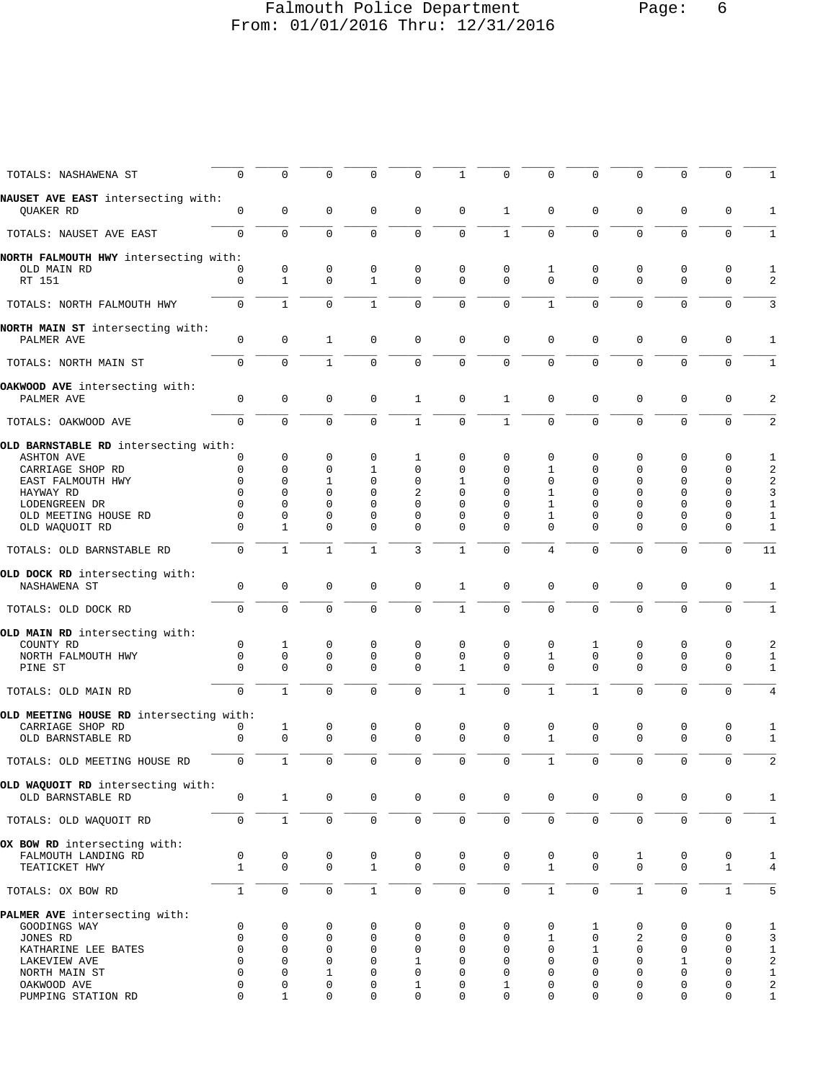## Falmouth Police Department Page: 6 From: 01/01/2016 Thru: 12/31/2016

| TOTALS: NASHAWENA ST                                   | 0                   | 0              | 0                | 0                       | 0                | 1                       | $\mathbf 0$          | 0                 | 0                   | $\mathbf 0$             | 0                       | 0                          | 1                          |
|--------------------------------------------------------|---------------------|----------------|------------------|-------------------------|------------------|-------------------------|----------------------|-------------------|---------------------|-------------------------|-------------------------|----------------------------|----------------------------|
| NAUSET AVE EAST intersecting with:<br>QUAKER RD        | $\mathbf{0}$        | $\mathbf 0$    | $\mathbf 0$      | 0                       | $\mathbf 0$      | $\mathbf 0$             | 1                    | 0                 | $\mathbf 0$         | $\mathbf 0$             | $\mathbf 0$             | 0                          | 1                          |
| TOTALS: NAUSET AVE EAST                                | $\Omega$            | $\mathbf 0$    | $\Omega$         | 0                       | $\mathbf 0$      | $\mathbf 0$             | $\mathbf{1}$         | $\Omega$          | $\Omega$            | $\mathbf 0$             | $\Omega$                | $\mathbf 0$                | $\mathbf{1}$               |
| NORTH FALMOUTH HWY intersecting with:                  |                     |                |                  |                         |                  |                         |                      |                   |                     |                         |                         |                            |                            |
| OLD MAIN RD                                            | 0                   | 0              | 0                | 0                       | 0                | $\mathbf 0$             | $\mathbf 0$          | 1                 | 0                   | $\mathbf 0$             | 0                       | 0                          | 1                          |
| RT 151                                                 | $\mathbf 0$         | $\mathbf{1}$   | $\mathbf 0$      | $\mathbf{1}$            | 0                | $\mathbf 0$             | $\Omega$             | $\Omega$          | $\Omega$            | $\Omega$                | $\Omega$                | $\Omega$                   | 2                          |
| TOTALS: NORTH FALMOUTH HWY                             | $\mathbf 0$         | $\mathbf{1}$   | $\mathbf 0$      | $\mathbf{1}$            | $\mathbf 0$      | $\mathbf 0$             | $\mathbf{0}$         | $\mathbf{1}$      | $\mathbf 0$         | $\mathbf 0$             | $\mathbf{0}$            | $\mathbf 0$                | 3                          |
| NORTH MAIN ST intersecting with:                       |                     |                |                  |                         |                  |                         |                      |                   |                     |                         |                         |                            |                            |
| PALMER AVE                                             | $\mathbf 0$         | $\mathbf 0$    | 1                | $\mathbf 0$             | $\mathbf 0$      | $\mathbf 0$             | $\mathbf 0$          | $\mathbf 0$       | 0                   | $\mathbf 0$             | 0                       | 0                          | 1                          |
| TOTALS: NORTH MAIN ST                                  | $\mathbf 0$         | 0              | $\mathbf{1}$     | 0                       | 0                | $\mathbf 0$             | $\Omega$             | $\Omega$          | $\Omega$            | $\Omega$                | $\Omega$                | 0                          | $\mathbf{1}$               |
| OAKWOOD AVE intersecting with:                         |                     |                |                  |                         |                  |                         |                      |                   |                     |                         |                         |                            |                            |
| PALMER AVE                                             | 0                   | 0              | $\mathbf 0$      | $\mathbf 0$             | $\mathbf{1}$     | $\mathbf 0$             | $\mathbf{1}$         | 0                 | $\mathbf 0$         | $\mathbf 0$             | $\mathbf{0}$            | $\mathbf 0$                | 2                          |
| TOTALS: OAKWOOD AVE                                    | $\mathbf 0$         | $\mathbf 0$    | $\mathbf 0$      | 0                       | $1\,$            | $\mathsf 0$             | $\mathbf{1}$         | 0                 | $\mathbf 0$         | $\mathbf 0$             | $\mathbf 0$             | $\mathbf 0$                | $\overline{a}$             |
| OLD BARNSTABLE RD intersecting with:                   |                     |                |                  |                         |                  |                         |                      |                   |                     |                         |                         |                            |                            |
| <b>ASHTON AVE</b>                                      | 0                   | 0              | 0                | 0                       | 1                | $\mathbf 0$             | 0                    | 0                 | 0                   | 0                       | 0                       | 0                          | 1                          |
| CARRIAGE SHOP RD                                       | 0                   | 0              | 0                | 1                       | 0                | $\mathbf 0$             | $\Omega$             | 1                 | 0                   | 0                       | 0                       | 0                          | 2                          |
| EAST FALMOUTH HWY                                      | 0                   | 0              | 1                | 0                       | 0                | 1                       | $\Omega$             | 0                 | 0                   | 0                       | 0                       | 0                          | 2                          |
| HAYWAY RD                                              | 0                   | 0              | 0                | 0                       | 2                | 0                       | $\Omega$             | 1                 | 0                   | 0                       | 0                       | 0                          | 3                          |
| LODENGREEN DR                                          | $\Omega$<br>0       | 0<br>0         | 0                | 0                       | $\Omega$         | 0                       | $\Omega$<br>$\Omega$ | 1                 | $\Omega$            | 0                       | 0                       | 0<br>0                     | $\mathbf{1}$               |
| OLD MEETING HOUSE RD<br>OLD WAQUOIT RD                 | $\Omega$            | $\mathbf{1}$   | 0<br>$\Omega$    | 0<br>$\Omega$           | 0<br>$\Omega$    | 0<br>0                  | $\Omega$             | 1<br>0            | 0<br>$\Omega$       | 0<br>$\Omega$           | 0<br>$\Omega$           | 0                          | 1<br>1                     |
|                                                        |                     |                |                  |                         |                  |                         |                      |                   |                     |                         |                         |                            |                            |
| TOTALS: OLD BARNSTABLE RD                              | $\mathbf 0$         | $\mathbf{1}$   | $\mathbf{1}$     | $\mathbf{1}$            | 3                | $\mathbf{1}$            | $\mathbf{0}$         | 4                 | $\mathbf 0$         | $\mathbf 0$             | $\Omega$                | $\mathbf 0$                | 11                         |
| OLD DOCK RD intersecting with:<br>NASHAWENA ST         | 0                   | 0              | $\mathbf 0$      | 0                       | 0                | $\mathbf{1}$            | $\mathbf 0$          | 0                 | 0                   | $\mathbf 0$             | $\mathbf 0$             | 0                          | 1                          |
| TOTALS: OLD DOCK RD                                    | $\mathbf 0$         | $\overline{0}$ | $\Omega$         | 0                       | $\mathbf 0$      | $\mathbf{1}$            | $\Omega$             | 0                 | $\Omega$            | $\mathbf 0$             | $\mathbf 0$             | $\mathbf 0$                | $\mathbf{1}$               |
|                                                        |                     |                |                  |                         |                  |                         |                      |                   |                     |                         |                         |                            |                            |
| OLD MAIN RD intersecting with:<br>COUNTY RD            | $\mathbf 0$         | 1              | 0                | 0                       | 0                | 0                       | 0                    | 0                 | 1                   | 0                       | 0                       | 0                          | 2                          |
| NORTH FALMOUTH HWY                                     | 0                   | 0              | 0                | 0                       | 0                | 0                       | 0                    | 1                 | 0                   | 0                       | 0                       | 0                          | 1                          |
| PINE ST                                                | $\Omega$            | 0              | $\Omega$         | 0                       | $\mathbf 0$      | 1                       | $\Omega$             | $\Omega$          | $\Omega$            | 0                       | 0                       | 0                          | $\mathbf{1}$               |
| TOTALS: OLD MAIN RD                                    | $\mathbf 0$         | $\mathbf{1}$   | $\Omega$         | 0                       | $\mathbf 0$      | $\mathbf{1}$            | $\mathbf{0}$         | $\mathbf{1}$      | $\mathbf{1}$        | $\mathbf 0$             | $\mathbf{0}$            | $\mathbf 0$                | 4                          |
|                                                        |                     |                |                  |                         |                  |                         |                      |                   |                     |                         |                         |                            |                            |
| OLD MEETING HOUSE RD intersecting with:                |                     |                |                  |                         | 0                |                         |                      |                   |                     |                         |                         |                            |                            |
| CARRIAGE SHOP RD<br>OLD BARNSTABLE RD                  | 0<br>$\mathbf 0$    | 1<br>0         | 0<br>$\mathbf 0$ | 0<br>$\mathbf 0$        | $\mathbf 0$      | 0<br>$\mathbf 0$        | 0<br>$\Omega$        | 0<br>$\mathbf{1}$ | 0<br>$\Omega$       | 0<br>$\mathbf 0$        | 0<br>$\mathbf{0}$       | 0<br>$\mathbf 0$           | 1<br>$\mathbf{1}$          |
|                                                        |                     |                |                  |                         |                  |                         |                      |                   |                     |                         |                         |                            |                            |
| TOTALS: OLD MEETING HOUSE RD                           | $\mathsf{O}\xspace$ | $\mathbf{1}$   | $\mathbf 0$      | $\mathbf 0$             | $\mathbf 0$      | $\mathsf{O}\xspace$     | $\overline{0}$       | $\mathbf{1}$      | $\mathbf 0$         | $\mathbf 0$             | $\mathbf{0}$            | $\mathbf 0$                | $\overline{\mathbf{c}}$    |
| OLD WAQUOIT RD intersecting with:<br>OLD BARNSTABLE RD | 0                   | $\mathbf{1}$   | $\mathsf{O}$     | $\mathbf 0$             | $\mathbf 0$      | $\mathbf 0$             | $\mathbf 0$          | $\mathbf 0$       | $\mathbf 0$         | $\mathbf 0$             | $\mathbf 0$             | 0                          | 1                          |
|                                                        |                     |                |                  |                         |                  |                         |                      |                   |                     |                         |                         |                            |                            |
| TOTALS: OLD WAQUOIT RD                                 | $\mathbf 0$         | $\mathbf{1}$   | $\mathbf 0$      | $\mathbf 0$             | $\mathbf 0$      | $\mathbf 0$             | $\mathbf 0$          | $\mathbf{0}$      | $\mathbf 0$         | $\mathbf 0$             | $\mathbf 0$             | $\mathbf 0$                | $\mathbf{1}$               |
| OX BOW RD intersecting with:                           |                     |                |                  |                         |                  |                         |                      |                   |                     |                         |                         |                            |                            |
| FALMOUTH LANDING RD                                    | 0                   | 0              | 0                | 0                       | 0                | 0                       | 0                    | 0                 | 0                   | 1                       | 0                       | 0                          | 1                          |
| TEATICKET HWY                                          | $\mathbf{1}$        | $\mathbf{0}$   | $\mathbf 0$      | $\mathbf{1}$            | $\mathbf 0$      | $\mathbf 0$             | $\mathbf 0$          | $\mathbf{1}$      | $\mathbf 0$         | $\mathbf 0$             | $\mathbf 0$             | $\mathbf{1}$               | 4                          |
| TOTALS: OX BOW RD                                      | $1\,$               | $\mathsf 0$    | $\mathbf 0$      | $\mathbf{1}$            | $\mathsf 0$      | $\mathsf 0$             | $\mathbf 0$          | $\mathbf{1}$      | $\mathsf{O}\xspace$ | $\,1\,$                 | $\mathbf 0$             | $\mathbf{1}$               | 5                          |
| PALMER AVE intersecting with:                          |                     |                |                  |                         |                  |                         |                      |                   |                     |                         |                         |                            |                            |
| GOODINGS WAY                                           | 0                   | 0              | 0                | 0                       | 0                | 0                       | $\mathbf 0$          | 0                 | 1                   | 0                       | 0                       | 0                          | 1                          |
| JONES RD                                               | 0                   | 0              | 0                | $\mathbf 0$             | 0                | $\mathbf 0$             | $\mathbf 0$          | 1                 | $\mathbf 0$         | 2                       | $\mathbf 0$             | $\mathbf 0$                | 3                          |
| KATHARINE LEE BATES                                    | $\mathbf 0$         | 0              | $\mathbf 0$      | $\mathbf 0$             | 0                | $\mathbf 0$             | $\mathbf{0}$         | 0                 | $\mathbf{1}$        | $\mathbf 0$             | $\mathbf{0}$            | $\mathbf 0$                | $\mathbf{1}$               |
| LAKEVIEW AVE                                           | 0                   | 0              | $\mathbf 0$      | $\mathbf 0$             | 1                | 0                       | $\mathbf 0$          | 0                 | $\mathbf 0$         | $\mathbf 0$             | 1                       | $\mathbf 0$                | 2                          |
| NORTH MAIN ST                                          | $\Omega$<br>0       | 0<br>0         | 1<br>$\mathbf 0$ | $\Omega$<br>$\mathbf 0$ | $\Omega$         | $\Omega$<br>$\mathbf 0$ | $\Omega$             | $\Omega$<br>0     | $\Omega$<br>0       | $\Omega$<br>$\mathbf 0$ | $\Omega$<br>$\mathbf 0$ | $\mathbf 0$<br>$\mathbf 0$ | $\mathbf{1}$               |
| OAKWOOD AVE<br>PUMPING STATION RD                      | $\Omega$            | 1              | $\mathbf 0$      | 0                       | 1<br>$\mathbf 0$ | $\mathbf 0$             | 1<br>$\Omega$        | $\Omega$          | $\Omega$            | 0                       | $\mathbf 0$             | $\mathbf 0$                | $\sqrt{2}$<br>$\mathbf{1}$ |
|                                                        |                     |                |                  |                         |                  |                         |                      |                   |                     |                         |                         |                            |                            |
|                                                        |                     |                |                  |                         |                  |                         |                      |                   |                     |                         |                         |                            |                            |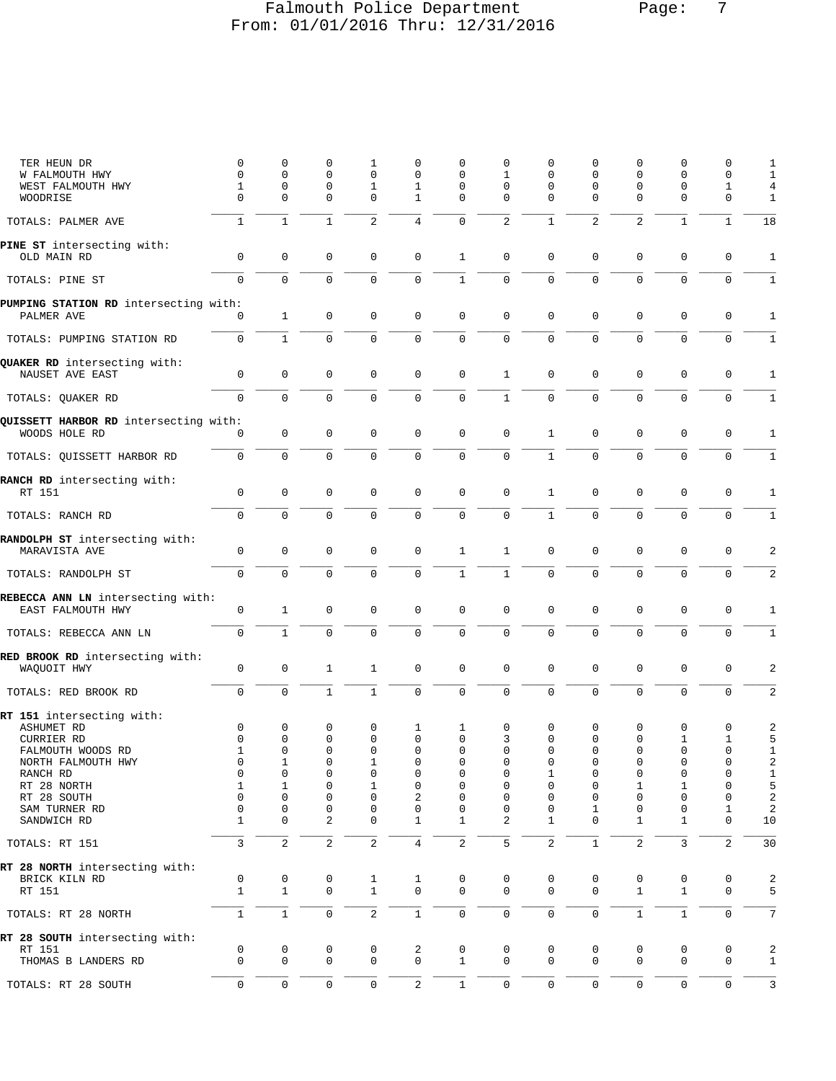## Falmouth Police Department Page: 7 From: 01/01/2016 Thru: 12/31/2016

| TER HEUN DR                                     | 0<br>0        | 0<br>0                      | 0<br>$\mathbf 0$        | 1<br>$\mathbf 0$             | 0<br>$\mathbf{0}$           | 0<br>0              | $\mathbf 0$<br>$\mathbf{1}$ | O<br>0                  | 0<br>$\mathbf 0$    | 0<br>0                  | $\Omega$<br>0     | 0<br>0                  | 1<br>$\mathbf{1}$ |
|-------------------------------------------------|---------------|-----------------------------|-------------------------|------------------------------|-----------------------------|---------------------|-----------------------------|-------------------------|---------------------|-------------------------|-------------------|-------------------------|-------------------|
| W FALMOUTH HWY<br>WEST FALMOUTH HWY             | 1             | 0                           | 0                       | 1                            | 1                           | $\mathbf 0$         | $\mathbf 0$                 | 0                       | 0                   | 0                       | 0                 | 1                       | 4                 |
| WOODRISE                                        | $\Omega$      | $\Omega$                    | $\mathbf 0$             | $\Omega$                     | 1                           | $\Omega$            | $\Omega$                    | $\Omega$                | $\Omega$            | $\Omega$                | 0                 | $\mathbf 0$             | 1                 |
| TOTALS: PALMER AVE                              | $\mathbf{1}$  | $\mathbf{1}$                | $\mathbf 1$             | 2                            | $\overline{4}$              | $\mathbf 0$         | 2                           | $\mathbf 1$             | 2                   | 2                       | $\mathbf{1}$      | $\mathbf{1}$            | 18                |
| PINE ST intersecting with:<br>OLD MAIN RD       | $\mathbf 0$   | $\mathbf 0$                 | $\mathbf 0$             | $\mathbf 0$                  | $\mathbf 0$                 | $\mathbf{1}$        | $\mathbf 0$                 | $\mathbf{0}$            | $\mathbf 0$         | $\mathbf 0$             | $\mathbf 0$       | 0                       | $\mathbf{1}$      |
| TOTALS: PINE ST                                 | $\Omega$      | $\Omega$                    | $\mathbf 0$             | $\Omega$                     | $\mathbf 0$                 | $\mathbf{1}$        | $\mathbf 0$                 | 0                       | $\mathbf 0$         | 0                       | 0                 | $\mathbf 0$             | $\mathbf{1}$      |
| PUMPING STATION RD intersecting with:           |               |                             |                         |                              |                             |                     |                             |                         |                     |                         |                   |                         |                   |
| PALMER AVE                                      | 0             | $\mathbf{1}$                | $\mathbf 0$             | 0                            | $\mathbf 0$                 | $\mathbf 0$         | $\mathbf 0$                 | $\mathbf 0$             | $\mathbf 0$         | $\mathbf 0$             | $\mathbf 0$       | 0                       | 1                 |
| TOTALS: PUMPING STATION RD                      | 0             | $\mathbf{1}$                | $\mathbf 0$             | $\mathbf 0$                  | $\mathbf 0$                 | $\mathbf 0$         | $\mathbf 0$                 | 0                       | $\mathbf 0$         | 0                       | 0                 | $\mathbf 0$             | $\mathbf{1}$      |
| QUAKER RD intersecting with:<br>NAUSET AVE EAST | 0             | 0                           | 0                       | $\mathbf 0$                  | 0                           | $\mathbf 0$         | 1                           | 0                       | 0                   | $\mathsf 0$             | $\mathbf 0$       | 0                       | 1                 |
| TOTALS: QUAKER RD                               | 0             | $\mathbf 0$                 | $\mathbf 0$             | $\mathbf 0$                  | $\mathbf 0$                 | $\mathsf 0$         | $1\,$                       | 0                       | $\mathbf 0$         | $\mathbf 0$             | 0                 | 0                       | 1                 |
| QUISSETT HARBOR RD intersecting with:           |               |                             |                         |                              |                             |                     |                             |                         |                     |                         |                   |                         |                   |
| WOODS HOLE RD                                   | 0             | $\mathsf 0$                 | $\mathbf 0$             | $\mathbf 0$                  | $\mathsf 0$                 | $\mathbf 0$         | $\mathbf 0$                 | 1                       | 0                   | $\mathbf 0$             | $\mathbf 0$       | 0                       | 1                 |
| TOTALS: OUISSETT HARBOR RD                      | 0             | 0                           | $\mathbf 0$             | $\Omega$                     | $\mathbf 0$                 | $\mathbf 0$         | $\Omega$                    | $\mathbf{1}$            | $\Omega$            | 0                       | $\Omega$          | $\mathbf 0$             | 1                 |
| RANCH RD intersecting with:<br>RT 151           | 0             | $\mathsf 0$                 | $\mathsf 0$             | $\mathbf 0$                  | $\mathbf 0$                 | $\mathbf 0$         | $\mathbf 0$                 | 1                       | 0                   | $\mathsf 0$             | $\mathbf 0$       | $\mathsf 0$             | 1                 |
| TOTALS: RANCH RD                                | 0             | $\mathbf 0$                 | $\mathbf 0$             | $\mathbf 0$                  | $\mathbf 0$                 | $\mathbf 0$         | $\mathsf 0$                 | $\mathbf{1}$            | $\mathbf 0$         | 0                       | 0                 | $\mathbf 0$             | $\mathbf{1}$      |
|                                                 |               |                             |                         |                              |                             |                     |                             |                         |                     |                         |                   |                         |                   |
| RANDOLPH ST intersecting with:<br>MARAVISTA AVE | 0             | $\mathsf 0$                 | 0                       | 0                            | $\mathbf 0$                 | $\mathbf{1}$        | $\mathbf{1}$                | 0                       | $\mathbf 0$         | $\mathsf 0$             | $\mathbf 0$       | 0                       | 2                 |
| TOTALS: RANDOLPH ST                             | 0             | $\mathbf 0$                 | $\mathbf 0$             | $\mathbf 0$                  | $\mathbf 0$                 | $\mathbf{1}$        | $1\,$                       | $\mathsf 0$             | $\mathbf 0$         | $\mathbf 0$             | 0                 | $\mathbf 0$             | 2                 |
| REBECCA ANN LN intersecting with:               |               |                             |                         |                              |                             |                     |                             |                         |                     |                         |                   |                         |                   |
| EAST FALMOUTH HWY                               | 0             | $\mathbf{1}$                | $\mathbf 0$             | $\mathbf 0$                  | $\mathbf 0$                 | $\mathsf 0$         | 0                           | $\mathbf 0$             | $\mathbf 0$         | $\mathsf 0$             | $\mathbf 0$       | 0                       | 1                 |
| TOTALS: REBECCA ANN LN                          | 0             | $\mathbf{1}$                | $\mathbf 0$             | $\mathbf 0$                  | $\mathbf 0$                 | $\mathbf 0$         | $\mathbf 0$                 | $\mathbf{0}$            | $\mathbf 0$         | $\mathbf 0$             | 0                 | $\mathsf 0$             | 1                 |
| RED BROOK RD intersecting with:                 | 0             | 0                           | 1                       | 1                            | 0                           | $\mathbf 0$         | $\mathbf 0$                 | 0                       | 0                   | 0                       | $\mathbf 0$       | 0                       | $\overline{c}$    |
| WAQUOIT HWY                                     |               |                             |                         |                              |                             |                     |                             |                         |                     |                         |                   |                         |                   |
| TOTALS: RED BROOK RD                            | 0             | 0                           | $\mathbf{1}$            | $\mathbf{1}$                 | $\mathsf{O}\xspace$         | $\mathsf 0$         | $\mathbf 0$                 | 0                       | $\mathbf 0$         | $\overline{0}$          | 0                 | 0                       | 2                 |
| RT 151 intersecting with:                       |               |                             |                         |                              |                             |                     |                             |                         |                     |                         |                   |                         |                   |
| ASHUMET RD                                      | 0             | 0                           | 0                       | 0                            | 1                           | 1                   | 0                           | 0                       | 0                   | 0                       | $\mathbf 0$       | 0                       | 2                 |
| CURRIER RD                                      | 0             | $\mathbf 0$                 | 0                       | $\mathbf 0$                  | $\mathbf 0$                 | $\mathbf 0$         | 3                           | 0                       | 0                   | 0                       | 1                 | 1                       | 5                 |
| FALMOUTH WOODS RD                               | 1<br>$\Omega$ | 0                           | $\mathsf 0$<br>$\Omega$ | $\mathbf 0$<br>$\mathbf{1}$  | $\mathbf 0$<br>$\Omega$     | 0<br>$\Omega$       | $\mathbf 0$<br>$\Omega$     | $\mathbf 0$<br>$\Omega$ | 0<br>$\Omega$       | $\mathsf 0$<br>$\Omega$ | 0<br>$\Omega$     | 0<br>$\Omega$           | 1                 |
| NORTH FALMOUTH HWY                              |               | 1                           |                         |                              |                             |                     |                             |                         |                     |                         |                   |                         | 2                 |
| RANCH RD                                        | 0             | 0                           | 0                       | 0                            | 0                           | 0                   | 0                           | 1                       | 0                   | 0                       | 0                 | 0                       | 1                 |
| RT 28 NORTH                                     | 1             | 1                           | 0                       | 1                            | 0                           | 0                   | $\mathbf 0$                 | 0                       | 0                   | 1                       | 1                 | 0                       | 5                 |
| RT 28 SOUTH                                     | 0             | 0                           | 0                       | $\mathbf{0}$                 | 2                           | $\mathbf 0$         | $\mathbf 0$                 | 0                       | 0                   | 0                       | 0                 | 0                       | $\overline{c}$    |
| SAM TURNER RD<br>SANDWICH RD                    | 0<br>1        | 0<br>0                      | 0<br>$\overline{2}$     | 0<br>0                       | 0<br>$\mathbf{1}$           | 0<br>1              | 0<br>2                      | 0<br>1                  | 1<br>0              | 0<br>1                  | 0<br>$\mathbf{1}$ | 1<br>0                  | 2<br>10           |
|                                                 |               |                             |                         |                              |                             |                     |                             |                         |                     |                         |                   |                         |                   |
| TOTALS: RT 151                                  | 3             | $\overline{a}$              | $\sqrt{2}$              | 2                            | 4                           | $\sqrt{2}$          | 5                           | 2                       | $\mathbf{1}$        | 2                       | 3                 | $\overline{\mathbf{c}}$ | 30                |
| RT 28 NORTH intersecting with:                  |               |                             |                         |                              |                             |                     |                             |                         |                     |                         |                   |                         |                   |
| BRICK KILN RD<br>RT 151                         | 0<br>1        | $\mathsf 0$<br>$\mathbf{1}$ | 0<br>0                  | $\mathbf{1}$<br>$\mathbf{1}$ | $\mathbf{1}$<br>$\mathbf 0$ | 0<br>0              | 0<br>$\mathbf 0$            | 0<br>0                  | 0<br>0              | 0<br>$\mathbf{1}$       | $\mathbf 0$<br>1  | $\mathsf 0$<br>0        | 2<br>5            |
| TOTALS: RT 28 NORTH                             | $\mathbf{1}$  | $\mathbf{1}$                | $\mathsf 0$             | 2                            | $1\,$                       | $\mathsf{O}\xspace$ | $\mathbf 0$                 | $\mathsf{O}\xspace$     | $\mathsf{O}\xspace$ | $1\,$                   | $1\,$             | $\mathsf{O}\xspace$     | 7                 |
| RT 28 SOUTH intersecting with:                  |               |                             |                         |                              |                             |                     |                             |                         |                     |                         |                   |                         |                   |
| RT 151                                          | 0             | 0                           | 0                       | 0                            | 2                           | 0                   | 0                           | 0                       | 0                   | 0                       | 0                 | 0                       | 2                 |
| THOMAS B LANDERS RD                             | 0             | 0                           | $\mathsf 0$             | 0                            | $\mathbf 0$                 | $\mathbf{1}$        | $\mathsf 0$                 | $\mathbf{0}$            | 0                   | $\mathsf 0$             | $\mathbf 0$       | 0                       | $1\,$             |
| TOTALS: RT 28 SOUTH                             | 0             | $\mathsf{O}\xspace$         | $\mathsf 0$             | $\mathsf{O}\xspace$          | $\boldsymbol{2}$            | $\mathbf{1}$        | $\mathbf 0$                 | $\mathsf{O}\xspace$     | $\mathsf{O}\xspace$ | 0                       | 0                 | 0                       | 3                 |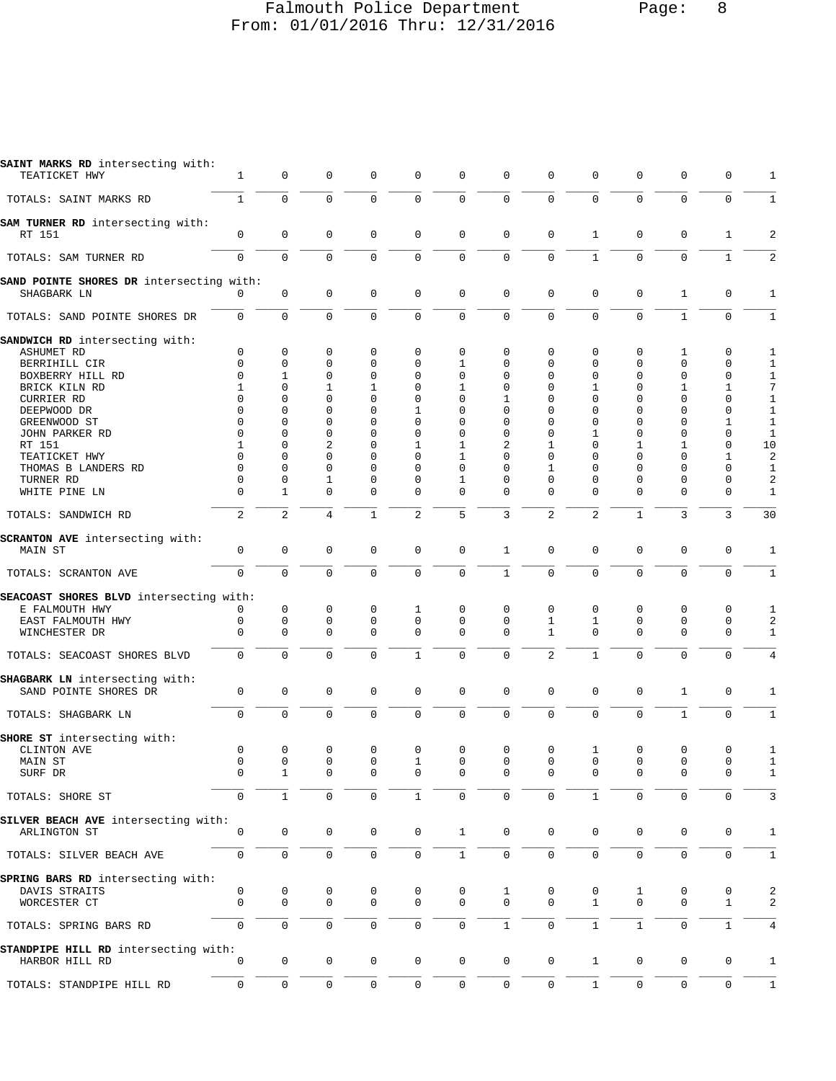## Falmouth Police Department Page: 8 From: 01/01/2016 Thru: 12/31/2016

| SAINT MARKS RD intersecting with:<br>TEATICKET HWY      | 1                    | 0                | 0             | 0                | 0                   | 0                   | $\mathbf 0$             | 0                    | 0                | $\mathbf 0$                | 0                       | 0                          | 1                              |
|---------------------------------------------------------|----------------------|------------------|---------------|------------------|---------------------|---------------------|-------------------------|----------------------|------------------|----------------------------|-------------------------|----------------------------|--------------------------------|
| TOTALS: SAINT MARKS RD                                  | $\mathbf{1}$         | $\mathbf 0$      | $\mathbf 0$   | 0                | $\mathbf 0$         | $\mathbf 0$         | $\mathbf 0$             | $\mathbf 0$          | $\mathbf 0$      | $\mathbf 0$                | $\mathbf 0$             | $\mathbf 0$                | 1                              |
| SAM TURNER RD intersecting with:<br>RT 151              | 0                    | 0                | 0             | $\mathbf 0$      | $\mathsf 0$         | $\mathbf 0$         | $\Omega$                | $\mathbf 0$          | $\mathbf{1}$     | $\mathbf 0$                | $\mathbf 0$             | $\mathbf{1}$               | $\overline{a}$                 |
| TOTALS: SAM TURNER RD                                   | $\mathbf 0$          | $\mathsf 0$      | 0             | $\mathbf 0$      | $\mathsf 0$         | $\mathsf 0$         | $\mathbf 0$             | $\mathbf 0$          | $\mathbf{1}$     | $\mathbf 0$                | $\mathbf 0$             | $\mathbf{1}$               | 2                              |
|                                                         |                      |                  |               |                  |                     |                     |                         |                      |                  |                            |                         |                            |                                |
| SAND POINTE SHORES DR intersecting with:<br>SHAGBARK LN | $\Omega$             | $\mathbf 0$      | $\mathbf 0$   | $\mathsf 0$      | $\mathbf 0$         | $\mathbf 0$         | $\mathbf 0$             | $\mathbf 0$          | $\mathbf 0$      | $\mathbf 0$                | 1                       | $\mathbf 0$                | 1                              |
| TOTALS: SAND POINTE SHORES DR                           | $\mathbf 0$          | 0                | 0             | 0                | $\mathbf 0$         | $\mathbf 0$         | $\Omega$                | $\mathbf 0$          | $\mathbf 0$      | $\mathbf 0$                | $1\,$                   | $\mathbf 0$                | $\mathbf{1}$                   |
| SANDWICH RD intersecting with:                          |                      |                  |               |                  |                     |                     |                         |                      |                  |                            |                         |                            |                                |
| ASHUMET RD                                              | 0<br>$\Omega$        | 0<br>0           | 0<br>0        | 0<br>0           | 0<br>0              | 0<br>1              | 0<br>$\Omega$           | 0<br>0               | 0                | $\mathbf 0$<br>$\mathbf 0$ | 1<br>0                  | 0<br>0                     | 1                              |
| BERRIHILL CIR<br>BOXBERRY HILL RD                       | $\Omega$             | 1                | 0             | $\Omega$         | 0                   | $\Omega$            | $\Omega$                | $\Omega$             | 0<br>0           | $\mathbf 0$                | 0                       | $\mathbf 0$                | 1<br>$\mathbf{1}$              |
| BRICK KILN RD                                           | 1                    | 0                | 1             | 1                | 0                   | 1                   | 0                       | $\Omega$             | 1                | $\mathbf 0$                | 1                       | 1                          | 7                              |
| CURRIER RD                                              | $\Omega$             | $\Omega$         | $\Omega$      | $\Omega$         | 0                   | $\Omega$            | 1                       | $\Omega$             | $\Omega$         | $\Omega$                   | $\Omega$                | 0                          | $\mathbf{1}$                   |
| DEEPWOOD DR                                             | $\Omega$             | $\Omega$         | $\Omega$      | $\Omega$         | 1                   | $\Omega$            | $\Omega$                | $\Omega$             | $\Omega$         | $\mathbf 0$                | $\Omega$                | 0                          | $\mathbf{1}$                   |
| GREENWOOD ST                                            | $\Omega$             | 0                | 0             | 0                | 0                   | 0                   | $\Omega$                | $\Omega$             | 0                | $\mathbf 0$                | 0                       | 1                          | $\mathbf{1}$                   |
| JOHN PARKER RD                                          | $\Omega$             | 0                | 0             | 0                | 0                   | 0                   | 0                       | $\Omega$             | 1                | $\mathbf 0$                | 0                       | 0                          | $\mathbf{1}$                   |
| RT 151                                                  | 1                    | 0                | 2             | $\Omega$         | 1                   | $\mathbf{1}$        | 2                       | 1                    | $\Omega$         | 1                          | 1                       | $\mathbf 0$                | 10                             |
| TEATICKET HWY                                           | $\Omega$             | 0                | $\Omega$      | $\Omega$         | 0                   | 1                   | $\Omega$                | $\Omega$             | $\Omega$         | $\mathbf 0$                | 0                       | 1                          | $\overline{\mathbf{c}}$        |
| THOMAS B LANDERS RD                                     | $\Omega$             | $\Omega$         | $\Omega$      | $\Omega$         | 0                   | $\Omega$            | $\Omega$                | 1                    | $\Omega$         | $\mathbf 0$                | $\Omega$                | $\Omega$                   | $\mathbf{1}$                   |
| TURNER RD<br>WHITE PINE LN                              | $\Omega$<br>$\Omega$ | $\mathbf 0$<br>1 | 1<br>0        | $\Omega$<br>0    | 0<br>0              | 1<br>0              | $\Omega$<br>$\Omega$    | $\Omega$<br>$\Omega$ | $\Omega$<br>0    | $\mathbf 0$<br>$\mathbf 0$ | $\Omega$<br>$\mathbf 0$ | $\mathbf 0$<br>0           | $\overline{a}$<br>$\mathbf{1}$ |
| TOTALS: SANDWICH RD                                     | $\overline{2}$       | $\overline{c}$   | 4             | $\mathbf{1}$     | $\mathbf{2}$        | 5                   | 3                       | $\mathbf{2}$         | $\overline{c}$   | $\mathbf{1}$               | 3                       | 3                          | 30                             |
| <b>SCRANTON AVE</b> intersecting with:                  |                      |                  |               |                  |                     |                     |                         |                      |                  |                            |                         |                            |                                |
| MAIN ST                                                 | 0                    | 0                | 0             | $\mathbf 0$      | $\mathsf 0$         | $\mathsf 0$         | $\mathbf{1}$            | $\mathbf 0$          | 0                | $\mathbf 0$                | $\mathbf 0$             | $\mathbf 0$                | $\mathbf{1}$                   |
| TOTALS: SCRANTON AVE                                    | $\mathbf 0$          | $\mathbf 0$      | $\Omega$      | $\overline{0}$   | $\mathbf 0$         | $\mathbf 0$         | $\mathbf{1}$            | $\mathbf 0$          | $\mathbf 0$      | $\mathbf 0$                | $\mathbf 0$             | $\mathbf 0$                | $\mathbf{1}$                   |
| SEACOAST SHORES BLVD intersecting with:                 |                      |                  |               |                  |                     |                     |                         |                      |                  |                            |                         |                            |                                |
| E FALMOUTH HWY                                          | 0                    | 0<br>0           | 0             | 0<br>$\mathbf 0$ | 1<br>$\mathbf 0$    | 0<br>$\mathbf 0$    | 0                       | 0                    | 0                | 0                          | 0<br>$\mathbf 0$        | 0                          | 1                              |
| EAST FALMOUTH HWY<br>WINCHESTER DR                      | 0<br>$\mathbf 0$     | 0                | 0<br>$\Omega$ | $\mathbf 0$      | $\mathbf 0$         | $\mathbf 0$         | $\mathbf 0$<br>$\Omega$ | 1<br>$\mathbf{1}$    | 1<br>$\mathbf 0$ | $\mathsf 0$<br>$\mathbf 0$ | $\mathbf 0$             | $\mathbf 0$<br>$\mathbf 0$ | $\overline{\mathbf{c}}$<br>1   |
| TOTALS: SEACOAST SHORES BLVD                            | $\mathbf 0$          | $\mathbf 0$      | $\mathbf 0$   | $\mathbf 0$      | $\mathbf{1}$        | $\mathbf 0$         | $\mathbf 0$             | 2                    | $\mathbf{1}$     | $\mathbf 0$                | $\mathbf 0$             | $\mathbf 0$                | 4                              |
| SHAGBARK LN intersecting with:                          |                      |                  |               |                  |                     |                     |                         |                      |                  |                            |                         |                            |                                |
| SAND POINTE SHORES DR                                   | $\mathbf 0$          | 0                | 0             | $\mathbf 0$      | $\mathsf 0$         | $\mathbf 0$         | $\Omega$                | $\mathbf 0$          | $\mathbf 0$      | $\mathsf 0$                | 1                       | $\mathbf 0$                | 1                              |
| TOTALS: SHAGBARK LN                                     | $\mathbf 0$          | $\mathbf 0$      | 0             | 0                | $\mathsf 0$         | $\mathsf{O}\xspace$ | $\mathbf 0$             | $\mathbf 0$          | $\mathbf 0$      | $\mathbf 0$                | $\mathbf{1}$            | $\mathsf{O}\xspace$        | 1                              |
| SHORE ST intersecting with:                             |                      |                  |               |                  |                     |                     |                         |                      |                  |                            |                         |                            |                                |
| CLINTON AVE                                             | 0                    | 0                | 0             | 0                | 0                   | 0                   | $\mathbf 0$             | 0                    | 1                | $\mathbf 0$                | $\mathbf 0$             | 0                          | 1                              |
| MAIN ST                                                 | $\mathbf 0$          | 0                | 0             | $\mathbf 0$      | 1                   | 0                   | $\mathbf 0$             | $\mathbf 0$          | $\mathbf 0$      | $\mathbf 0$                | $\mathbf 0$             | $\mathbf 0$                | $\mathbf{1}$                   |
| SURF DR                                                 | 0                    |                  | 0             | 0                | 0                   |                     |                         |                      |                  | 0                          | 0                       | 0                          |                                |
| TOTALS: SHORE ST                                        | 0                    | $\mathbf{1}$     | 0             | $\mathbf 0$      | $\mathbf 1$         | 0                   | 0                       | $\mathbf 0$          | 1                | $\mathbf 0$                | 0                       | 0                          | 3                              |
| SILVER BEACH AVE intersecting with:                     |                      |                  |               |                  |                     |                     |                         |                      |                  |                            |                         |                            |                                |
| ARLINGTON ST                                            | 0                    | $\mathbf 0$      | 0             | $\mathsf 0$      | $\mathsf 0$         | $\mathbf{1}$        | $\Omega$                | $\mathbf 0$          | $\mathbf 0$      | $\mathbf 0$                | 0                       | 0                          | $\mathbf{1}$                   |
| TOTALS: SILVER BEACH AVE                                | $\mathbf 0$          | $\mathsf 0$      | 0             | 0                | $\mathsf{O}\xspace$ | $\mathbf{1}$        | $\Omega$                | $\mathbf 0$          | 0                | $\mathsf{O}\xspace$        | $\mathbf 0$             | $\mathbf 0$                | 1                              |
| SPRING BARS RD intersecting with:                       |                      |                  |               |                  |                     |                     |                         |                      |                  |                            |                         |                            |                                |
| DAVIS STRAITS                                           | 0                    | 0                | 0             | 0                | 0                   | 0                   | 1                       | 0                    | 0                | 1                          | 0                       | 0                          | 2                              |
| WORCESTER CT                                            | $\mathbf 0$          | $\mathbf 0$      | $\mathbf 0$   | $\mathbf 0$      | $\mathbf 0$         | $\mathbf 0$         | $\Omega$                | $\mathbf 0$          | $\mathbf{1}$     | $\mathbf 0$                | $\mathbf 0$             | $\mathbf 1$                | 2                              |
|                                                         |                      |                  |               |                  |                     |                     |                         |                      |                  |                            |                         |                            |                                |
| TOTALS: SPRING BARS RD                                  | $\mathsf 0$          | $\mathbf 0$      | 0             | $\mathbf 0$      | $\mathbf 0$         | $\mathbf 0$         | $\mathbf{1}$            | $\mathbf 0$          | $\mathbf{1}$     | $\mathbf{1}$               | 0                       | $\mathbf{1}$               | 4                              |
| STANDPIPE HILL RD intersecting with:<br>HARBOR HILL RD  | 0                    | 0                | 0             | 0                | $\mathbf 0$         | 0                   | $\mathbf 0$             | 0                    | $\mathbf{1}$     | 0                          | 0                       | 0                          | $\mathbf{1}$                   |
|                                                         |                      |                  |               |                  |                     |                     |                         |                      |                  |                            |                         |                            |                                |
| TOTALS: STANDPIPE HILL RD                               | 0                    | $\mathsf 0$      | 0             | 0                | 0                   | 0                   | 0                       | $\mathbf 0$          | $\mathbf{1}$     | 0                          | $\mathbf 0$             | $\mathbf 0$                | 1                              |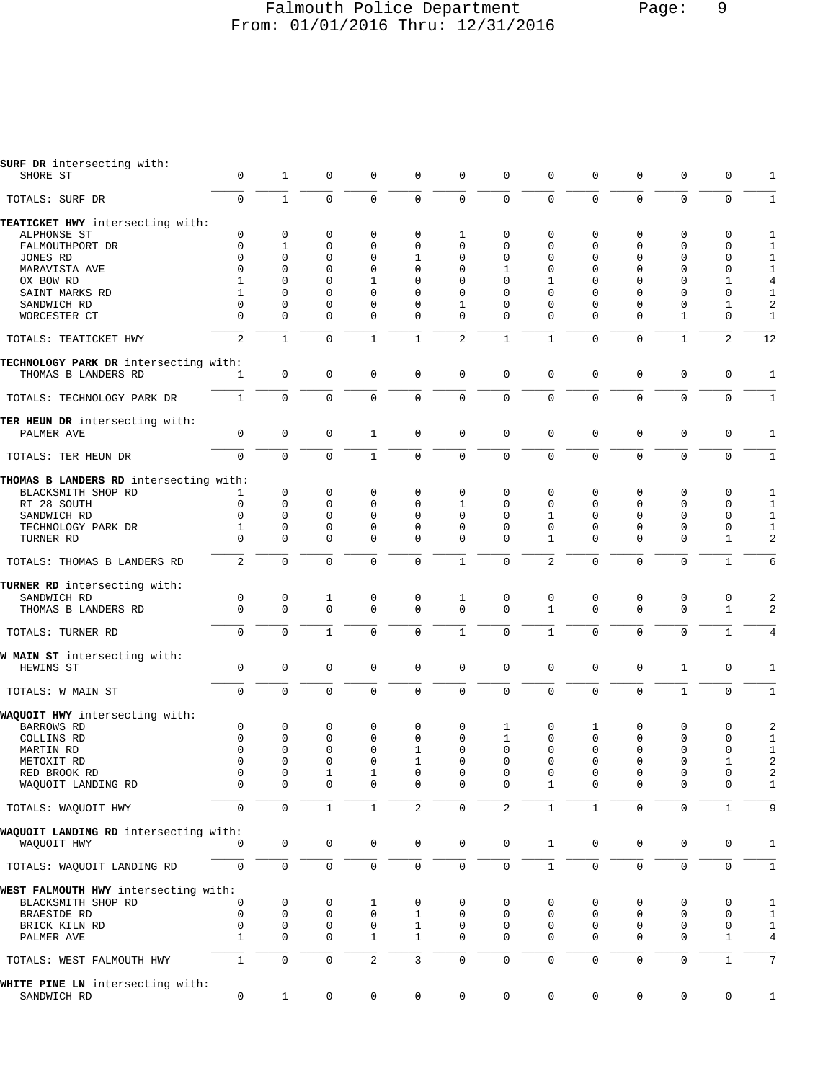#### Falmouth Police Department Page: 9 From: 01/01/2016 Thru: 12/31/2016

| SURF DR intersecting with:                           |                     |              |              |                     |              |              |              |              |              |                     |              |              |                |
|------------------------------------------------------|---------------------|--------------|--------------|---------------------|--------------|--------------|--------------|--------------|--------------|---------------------|--------------|--------------|----------------|
| SHORE ST                                             | $\mathsf 0$         | $\mathbf{1}$ | $\mathbf 0$  | $\mathbf 0$         | 0            | $\mathsf 0$  | 0            | $\mathbf 0$  | 0            | 0                   | $\mathbf 0$  | 0            | 1              |
|                                                      |                     |              |              |                     |              |              |              |              |              |                     |              |              |                |
| TOTALS: SURF DR                                      | $\mathbf 0$         | $\mathbf{1}$ | $\mathbf 0$  | $\mathbf 0$         | $\mathbf 0$  | $\mathbf 0$  | 0            | $\mathbf 0$  | $\mathbf 0$  | $\mathbf 0$         | $\mathbf{0}$ | $\mathbf 0$  | $\mathbf{1}$   |
| TEATICKET HWY intersecting with:                     |                     |              |              |                     |              |              |              |              |              |                     |              |              |                |
| ALPHONSE ST                                          | 0                   | $\mathbf 0$  | $\mathbf 0$  | $\mathbf 0$         | 0            | 1            | 0            | $\mathbf 0$  | 0            | 0                   | $\mathbf 0$  | 0            | 1              |
| FALMOUTHPORT DR                                      | 0                   | 1            | $\mathbf 0$  | $\mathbf 0$         | $\Omega$     | $\Omega$     | 0            | $\Omega$     | $\mathbf 0$  | 0                   | $\mathbf 0$  | 0            | $1\,$          |
| JONES RD                                             | $\Omega$            | $\Omega$     | $\mathbf 0$  | $\mathbf 0$         | 1            | 0            | 0            | $\Omega$     | $\Omega$     | $\Omega$            | $\Omega$     | 0            | $1\,$          |
|                                                      | $\Omega$            | $\Omega$     | $\mathbf 0$  | $\mathbf 0$         | $\mathbf{0}$ | 0            | 1            | $\Omega$     | $\Omega$     | $\Omega$            | $\Omega$     | 0            | $\mathbf 1$    |
| MARAVISTA AVE                                        |                     |              |              |                     |              |              |              |              |              |                     |              |              |                |
| OX BOW RD                                            | 1                   | 0            | $\mathbf 0$  | $\mathbf{1}$        | $\mathbf 0$  | 0            | $\Omega$     | 1            | $\Omega$     | $\Omega$            | $\Omega$     | $\mathbf 1$  | $\bf 4$        |
| SAINT MARKS RD                                       | $\mathbf{1}$        | $\mathbf 0$  | $\Omega$     | $\Omega$            | $\Omega$     | 0            | $\Omega$     | $\Omega$     | $\Omega$     | $\Omega$            | $\Omega$     | 0            | $\mathbf{1}$   |
| SANDWICH RD                                          | $\Omega$            | $\mathbf 0$  | $\mathbf 0$  | 0                   | $\mathbf 0$  | 1            | 0            | $\Omega$     | $\Omega$     | $\Omega$            | $\mathbf 0$  | 1            | 2              |
| WORCESTER CT                                         | $\Omega$            | $\Omega$     | $\Omega$     | $\Omega$            | $\Omega$     | 0            | $\Omega$     | $\Omega$     | $\Omega$     | $\Omega$            | 1            | $\mathbf 0$  | $\mathbf{1}$   |
| TOTALS: TEATICKET HWY                                | 2                   | $\mathbf{1}$ | $\mathbf 0$  | $\mathbf{1}$        | $\mathbf{1}$ | 2            | $\mathbf{1}$ | $\mathbf{1}$ | $\Omega$     | $\Omega$            | $\mathbf{1}$ | 2            | 12             |
| TECHNOLOGY PARK DR intersecting with:                |                     |              |              |                     |              |              |              |              |              |                     |              |              |                |
| THOMAS B LANDERS RD                                  | 1                   | $\mathbf 0$  | $\mathbf 0$  | 0                   | $\mathbf 0$  | 0            | $\mathbf 0$  | $\mathbf 0$  | $\mathbf 0$  | $\mathbf 0$         | $\mathbf 0$  | 0            | 1              |
| TOTALS: TECHNOLOGY PARK DR                           | $\mathbf{1}$        | $\mathbf 0$  | $\mathbf 0$  | $\mathbf 0$         | $\mathbf 0$  | $\mathbf 0$  | $\mathbf 0$  | $\Omega$     | $\Omega$     | $\Omega$            | $\mathbf 0$  | $\mathbf 0$  | $1\,$          |
|                                                      |                     |              |              |                     |              |              |              |              |              |                     |              |              |                |
| TER HEUN DR intersecting with:<br>PALMER AVE         | $\mathbf 0$         | $\mathbf 0$  | $\mathbf 0$  | $\mathbf{1}$        | $\mathsf 0$  | 0            | $\mathbf 0$  | $\mathbf 0$  | $\mathbf 0$  | $\mathbf 0$         | $\mathbf 0$  | $\mathbf 0$  | 1              |
| TOTALS: TER HEUN DR                                  | $\mathbf 0$         | $\mathbf 0$  | $\mathbf 0$  | $\mathbf{1}$        | $\mathsf 0$  | $\mathsf 0$  | $\mathsf 0$  | $\mathbf 0$  | $\mathbf 0$  | $\mathbf 0$         | $\mathbf 0$  | $\mathbf 0$  | $1\,$          |
| THOMAS B LANDERS RD intersecting with:               |                     |              |              |                     |              |              |              |              |              |                     |              |              |                |
| BLACKSMITH SHOP RD                                   | 1                   | $\mathbf 0$  | 0            | $\mathbf 0$         | 0            | 0            | 0            | 0            | 0            | $\mathbf 0$         | $\mathbf 0$  | 0            | 1              |
|                                                      | $\mathbf 0$         | $\mathbf 0$  | $\mathbf 0$  | $\Omega$            | $\Omega$     | 1            | $\Omega$     | $\Omega$     | $\Omega$     | 0                   | $\Omega$     | $\mathbf 0$  | $\mathbf{1}$   |
| RT 28 SOUTH                                          |                     |              |              |                     |              |              |              |              |              |                     |              |              |                |
| SANDWICH RD                                          | $\Omega$            | $\Omega$     | $\Omega$     | $\Omega$            | $\Omega$     | $\Omega$     | $\Omega$     | 1            | $\Omega$     | $\Omega$            | $\Omega$     | $\Omega$     | $\mathbf{1}$   |
| TECHNOLOGY PARK DR                                   | $\mathbf{1}$        | $\mathbf 0$  | $\mathbf 0$  | $\mathbf 0$         | $\mathbf 0$  | $\mathbf 0$  | $\mathbf 0$  | $\mathbf 0$  | $\mathbf 0$  | 0                   | $\mathbf 0$  | $\mathbf 0$  | $\mathbf 1$    |
| TURNER RD                                            | $\Omega$            | $\mathbf 0$  | $\Omega$     | $\mathbf 0$         | $\mathbf{0}$ | 0            | $\Omega$     | 1            | $\Omega$     | 0                   | $\Omega$     | $\mathbf{1}$ | 2              |
| TOTALS: THOMAS B LANDERS RD                          | 2                   | $\Omega$     | $\Omega$     | $\Omega$            | $\mathbf 0$  | $\mathbf{1}$ | $\mathbf 0$  | 2            | $\Omega$     | $\Omega$            | $\mathbf 0$  | $\mathbf{1}$ | 6              |
| TURNER RD intersecting with:                         |                     |              |              |                     |              |              |              |              |              |                     |              |              |                |
| SANDWICH RD                                          | $\mathbf 0$         | 0            | $\mathbf 1$  | 0                   | 0            | 1            | 0            | $\mathbf 0$  | 0            | 0                   | $\mathbf 0$  | $\mathsf 0$  | 2              |
| THOMAS B LANDERS RD                                  | $\mathbf 0$         | $\mathbf 0$  | $\mathbf 0$  | $\mathbf 0$         | $\mathbf 0$  | $\mathbf 0$  | $\Omega$     | $\mathbf{1}$ | $\Omega$     | $\mathbf 0$         | $\mathbf{0}$ | $\mathbf{1}$ | 2              |
| TOTALS: TURNER RD                                    | $\mathbf 0$         | $\mathbf 0$  | $1\,$        | 0                   | $\mathbf 0$  | $\mathbf{1}$ | 0            | $\mathbf{1}$ | $\mathbf 0$  | $\mathbf 0$         | $\mathbf 0$  | $\mathbf{1}$ | $\,4$          |
|                                                      |                     |              |              |                     |              |              |              |              |              |                     |              |              |                |
| W MAIN ST intersecting with:<br>HEWINS ST            | $\mathbf 0$         | $\mathsf 0$  | $\mathbf 0$  | $\mathbf 0$         | $\mathbf 0$  | $\mathbf 0$  | $\mathbf 0$  | $\mathbf 0$  | $\mathbf 0$  | $\mathbf 0$         | $\mathbf{1}$ | 0            | $\mathbf{1}$   |
|                                                      |                     |              |              |                     |              |              |              |              |              |                     |              |              |                |
| TOTALS: W MAIN ST                                    | $\mathbf{0}$        | $\mathbf 0$  | $\mathbf 0$  | $\mathbf 0$         | $\mathbf 0$  | $\mathbf 0$  | $\mathbf 0$  | $\Omega$     | $\mathbf 0$  | $\mathbf 0$         | $\mathbf{1}$ | $\mathbf 0$  | $1\,$          |
| WAQUOIT HWY intersecting with:                       |                     |              |              |                     |              |              |              |              |              |                     |              |              |                |
| BARROWS RD                                           | 0                   | 0            | 0            | 0                   | 0            | 0            | 1            | 0            | 1            | 0                   | 0            | 0            | 2              |
| COLLINS RD                                           | $\mathbf 0$         | $\mathbf 0$  | $\mathbf 0$  | $\mathbf 0$         | $\mathbf 0$  | $\Omega$     | 1            | $\Omega$     | $\Omega$     | $\Omega$            | $\mathbf 0$  | $\mathbf 0$  | $1\,$          |
| MARTIN RD                                            | $\Omega$            | $\mathbf 0$  | $\mathbf 0$  | $\mathbf 0$         | 1            | 0            | 0            | $\Omega$     | $\mathbf 0$  | $\mathbf 0$         | $\mathbf{0}$ | 0            | $\mathbf{1}$   |
| METOXIT RD                                           | 0                   | $\mathbf 0$  | $\mathbf 0$  | $\mathbf 0$         | 1            | 0            | $\Omega$     | $\Omega$     | $\Omega$     | $\Omega$            | $\mathbf 0$  | 1            | $\sqrt{2}$     |
| RED BROOK RD                                         | 0                   | 0            | $\mathbf 1$  | 1                   | $\mathbf 0$  | 0            | 0            | $\mathbf 0$  | 0            | $\Omega$            | 0            | $\mathbf 0$  | 2              |
| WAQUOIT LANDING RD                                   | 0                   | 0            | $\mathbf 0$  | 0                   | 0            | 0            | 0            | 1            | 0            | 0                   | $\mathbf 0$  | 0            | 1              |
| TOTALS: WAQUOIT HWY                                  | $\mathsf{O}\xspace$ | $\mathsf 0$  | $\mathbf{1}$ | $1\,$               | 2            | $\mathsf 0$  | 2            | $\mathbf{1}$ | $\mathbf{1}$ | $\mathsf{O}\xspace$ | $\mathsf 0$  | $\mathbf{1}$ | 9              |
|                                                      |                     |              |              |                     |              |              |              |              |              |                     |              |              |                |
| WAQUOIT LANDING RD intersecting with:<br>WAQUOIT HWY | $\Omega$            | $\mathsf 0$  | $\mathbf 0$  | 0                   | 0            | 0            | $\mathbf 0$  | $\mathbf{1}$ | 0            | $\mathbf 0$         | 0            | 0            | 1              |
|                                                      |                     |              |              |                     |              |              |              |              |              |                     |              |              |                |
| TOTALS: WAQUOIT LANDING RD                           | $\mathsf{O}\xspace$ | $\mathsf 0$  | $\mathsf 0$  | $\mathsf{O}\xspace$ | $\mathsf{O}$ | 0            | 0            | $\mathbf{1}$ | $\mathbf 0$  | $\mathbf 0$         | $\mathbf 0$  | $\mathbf 0$  | $\mathbf{1}$   |
| WEST FALMOUTH HWY intersecting with:                 |                     |              |              |                     |              |              |              |              |              |                     |              |              |                |
| BLACKSMITH SHOP RD                                   | 0                   | 0            | 0            | 1                   | 0            | 0            | 0            | 0            | 0            | 0                   | 0            | 0            | 1              |
| BRAESIDE RD                                          | $\mathbf 0$         | $\mathbf 0$  | $\mathbf 0$  | 0                   | $\mathbf{1}$ | 0            | 0            | 0            | 0            | 0                   | $\mathbf 0$  | 0            | $\mathbf{1}$   |
| BRICK KILN RD                                        | 0                   | $\mathsf 0$  | 0            | 0                   | $\mathbf{1}$ | 0            | 0            | 0            | 0            | 0                   | 0            | 0            | $\mathbf{1}$   |
| PALMER AVE                                           | 1                   | $\mathbf 0$  | $\mathbf 0$  | 1                   | $\mathbf{1}$ | 0            | $\mathbf 0$  | $\Omega$     | $\mathbf 0$  | 0                   | $\mathbf 0$  | $\mathbf 1$  | 4              |
|                                                      |                     |              |              |                     |              |              |              |              |              |                     |              |              |                |
| TOTALS: WEST FALMOUTH HWY                            | $\mathbf{1}$        | $\mathsf 0$  | $\mathsf 0$  | $\overline{2}$      | 3            | 0            | 0            | $\mathbf 0$  | $\mathbf 0$  | $\mathbf 0$         | $\mathbf 0$  | $\mathbf{1}$ | $\overline{7}$ |
| WHITE PINE LN intersecting with:<br>SANDWICH RD      | $\mathbf 0$         | $\mathbf{1}$ | 0            | 0                   | 0            | $\mathbf 0$  | 0            | $\mathsf{O}$ | 0            | 0                   | 0            | 0            | $\mathbf{1}$   |
|                                                      |                     |              |              |                     |              |              |              |              |              |                     |              |              |                |